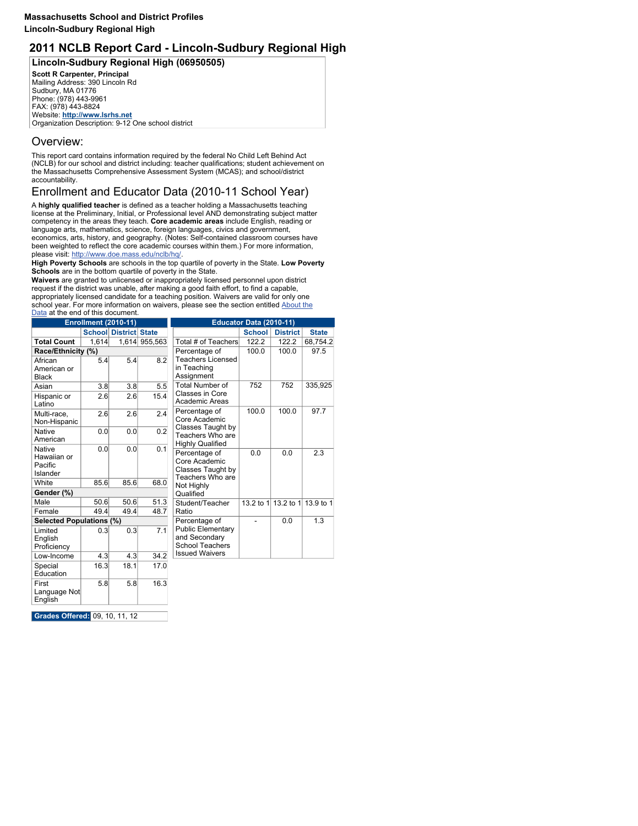### **Massachusetts School and District Profiles Lincoln-Sudbury Regional High**

# **2011 NCLB Report Card - Lincoln-Sudbury Regional High**

**Lincoln-Sudbury Regional High (06950505)**

**Scott R Carpenter, Principal Mailing Address: 390 Lincoln Rd Sudbury, MA 01776 Phone: (978) 443-9961 FAX: (978) 443-8824 Website: http://www.lsrhs.net Organization Description: 9-12 One school district**

# **Overview:**

**This report card contains information required by the federal No Child Left Behind Act (NCLB) for our school and district including: teacher qualifications; student achievement on the Massachusetts Comprehensive Assessment System (MCAS); and school/district accountability.**

# **Enrollment and Educator Data (2010-11 School Year)**

**A highly qualified teacher is defined as a teacher holding a Massachusetts teaching license at the Preliminary, Initial, or Professional level AND demonstrating subject matter competency in the areas they teach. Core academic areas include English, reading or language arts, mathematics, science, foreign languages, civics and government, economics, arts, history, and geography. (Notes: Self-contained classroom courses have been weighted to reflect the core academic courses within them.) For more information, please visit: http://www.doe.mass.edu/nclb/hq/.**

**High Poverty Schools are schools in the top quartile of poverty in the State. Low Poverty Schools are in the bottom quartile of poverty in the State.**

**Waivers are granted to unlicensed or inappropriately licensed personnel upon district request if the district was unable, after making a good faith effort, to find a capable, appropriately licensed candidate for a teaching position. Waivers are valid for only one school year. For more information on waivers, please see the section entitled About the Data at the end of this document.**

**Grades Offered: 09, 10, 11, 12**

|                                                            | <b>Enrollment (2010-11)</b> |                              |         |                                                                         | Educator Data (2010-11) |                               |              |
|------------------------------------------------------------|-----------------------------|------------------------------|---------|-------------------------------------------------------------------------|-------------------------|-------------------------------|--------------|
|                                                            |                             | <b>School District State</b> |         |                                                                         | <b>School</b>           | <b>District</b>               | <b>State</b> |
| <b>Total Count</b>                                         | 1,614                       | 1,614                        | 955,563 | Total # of Teachers                                                     | 122.2                   | 122.2                         | 68,754.2     |
| Race/Ethnicity (%)                                         |                             |                              |         | Percentage of                                                           | 100.0                   | 100.0                         | 97.5         |
| African<br>American or<br><b>Black</b>                     | 5.4                         | 5.4                          | 8.2     | <b>Teachers Licensed</b><br>in Teaching<br>Assignment                   |                         |                               |              |
| Asian                                                      | 3.8                         | 3.8                          | 5.5     | <b>Total Number of</b>                                                  | 752                     | 752                           | 335,925      |
| Hispanic or<br>Latino                                      | 2.6                         | 2.6                          | 15.4    | <b>Classes in Core</b><br><b>Academic Areas</b>                         |                         |                               |              |
| Multi-race,<br>Non-Hispanic                                | 2.6                         | 2.6                          | 2.4     | Percentage of<br>Core Academic                                          | 100.0                   | 100.0                         | 97.7         |
| <b>Native</b><br>American                                  | 0.0                         | 0.0                          | 0.2     | <b>Classes Taught by</b><br>Teachers Who are<br><b>Highly Qualified</b> |                         |                               |              |
| <b>Native</b><br>Hawaiian or<br>Pacific<br><b>Islander</b> | 0.0                         | 0.0                          | 0.1     | Percentage of<br>Core Academic<br>Classes Taught by<br>Teachers Who are | 0.0                     | 0.0                           | 2.3          |
| White                                                      | 85.6                        | 85.6                         | 68.0    | Not Highly                                                              |                         |                               |              |
| Gender (%)                                                 |                             |                              |         | Qualified                                                               |                         |                               |              |
| Male                                                       | 50.6                        | 50.6                         | 51.3    | Student/Teacher                                                         |                         | 13.2 to 1 13.2 to 1 13.9 to 1 |              |
| Female                                                     | 49.4                        | 49.4                         | 48.7    | Ratio                                                                   |                         |                               |              |
| <b>Selected Populations (%)</b>                            |                             |                              |         | Percentage of                                                           |                         | 0.0                           | 1.3          |
| Limited<br>English<br>Proficiency                          | 0.3                         | 0.3                          | 7.1     | <b>Public Elementary</b><br>and Secondary<br><b>School Teachers</b>     |                         |                               |              |
| Low-Income                                                 | 4.3                         | 4.3                          | 34.2    | <b>Issued Waivers</b>                                                   |                         |                               |              |
| Special<br>Education                                       | 16.3                        | 18.1                         | 17.0    |                                                                         |                         |                               |              |
| First<br>Language Not<br>English                           | 5.8                         | 5.8                          | 16.3    |                                                                         |                         |                               |              |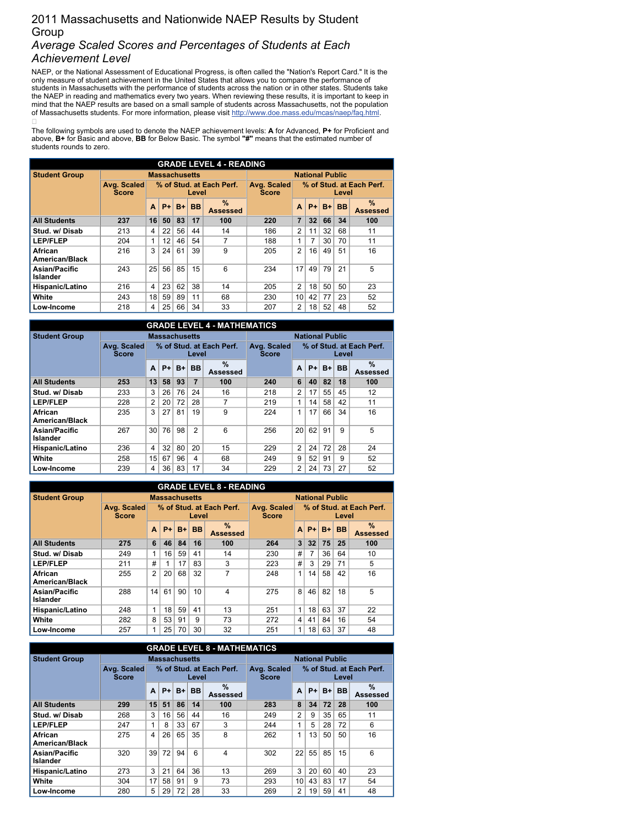## **2011 Massachusetts and Nationwide NAEP Results by Student Group** *Average Scaled Scores and Percentages of Students at Each Achievement Level*

NAEP, or the National Assessment of Educational Progress, is often called the "Nation's Report Card." It is the **only measure of student achievement in the United States that allows you to compare the performance of** students in Massachusetts with the performance of students across the nation or in other states. Students take the NAEP in reading and mathematics every two years. When reviewing these results, it is important to keep in mind that the NAEP results are based on a small sample of students across Massachusetts, not the population **of Massachusetts students. For more information, please visit http://www.doe.mass.edu/mcas/naep/faq.html.**  $\Box$ 

The following symbols are used to denote the NAEP achievement levels: A for Advanced, P+ for Proficient and above, B+ for Basic and above, BB for Below Basic. The symbol "#" means that the estimated number of **students rounds to zero.**

|                                         |                             |                |      |                      |           | <b>GRADE LEVEL 4 - READING</b>   |                             |                |                |                        |           |                                  |
|-----------------------------------------|-----------------------------|----------------|------|----------------------|-----------|----------------------------------|-----------------------------|----------------|----------------|------------------------|-----------|----------------------------------|
| <b>Student Group</b>                    |                             |                |      | <b>Massachusetts</b> |           |                                  |                             |                |                | <b>National Public</b> |           |                                  |
|                                         | Avg. Scaled<br><b>Score</b> |                |      |                      | Level     | % of Stud. at Each Perf.         | Avg. Scaled<br><b>Score</b> |                |                |                        | Level     | % of Stud. at Each Perf.         |
|                                         |                             | A              | $P+$ | $B+$                 | <b>BB</b> | $\frac{9}{6}$<br><b>Assessed</b> |                             | A              | $P+$           | $B+$                   | <b>BB</b> | $\frac{9}{6}$<br><b>Assessed</b> |
| <b>All Students</b>                     | 237                         | 16             | 50   | 83                   | 17        | 100                              | 220                         | $\overline{7}$ | 32             | 66                     | 34        | 100                              |
| Stud. w/Disab                           | 213                         | 4              | 22   | 56                   | 44        | 14                               | 186                         | $\overline{2}$ | 11             | 32                     | 68        | 11                               |
| <b>LEP/FLEP</b>                         | 204                         | 1              | 12   | 46                   | 54        | 7                                | 188                         |                | $\overline{7}$ | 30                     | 70        | 11                               |
| <b>African</b><br><b>American/Black</b> | 216                         | 3              | 24   | 61                   | 39        | 9                                | 205                         | $\overline{2}$ | 16             | 49                     | 51        | 16                               |
| <b>Asian/Pacific</b><br><b>Islander</b> | 243                         | 25             | 56   | 85                   | 15        | 6                                | 234                         | 17             | 49             | 79                     | 21        | 5                                |
| Hispanic/Latino                         | 216                         | $\overline{4}$ | 23   | 62                   | 38        | 14                               | 205                         | 2              | 18             | 50                     | 50        | 23                               |
| White                                   | 243                         | 18             | 59   | 89                   | 11        | 68                               | 230                         | 10             | 42             | 77                     | 23        | 52                               |
| Low-Income                              | 218                         | 4              | 25   | 66                   | 34        | 33                               | 207                         | $\overline{2}$ | 18             | 52                     | 48        | 52                               |

|                                         |                             |                 |                      |      |                | <b>GRADE LEVEL 4 - MATHEMATICS</b> |                             |                |      |                        |           |                                  |
|-----------------------------------------|-----------------------------|-----------------|----------------------|------|----------------|------------------------------------|-----------------------------|----------------|------|------------------------|-----------|----------------------------------|
| <b>Student Group</b>                    |                             |                 | <b>Massachusetts</b> |      |                |                                    |                             |                |      | <b>National Public</b> |           |                                  |
|                                         | Avg. Scaled<br><b>Score</b> |                 |                      |      | Level          | % of Stud. at Each Perf.           | Avg. Scaled<br><b>Score</b> |                |      |                        | Level     | % of Stud. at Each Perf.         |
|                                         |                             | A               | $P+$                 | $B+$ | <b>BB</b>      | $\frac{1}{2}$<br><b>Assessed</b>   |                             | A              | $P+$ | $B+$                   | <b>BB</b> | $\frac{0}{0}$<br><b>Assessed</b> |
| <b>All Students</b>                     | 253                         | 13              | 58                   | 93   | $\overline{7}$ | 100                                | 240                         | 6              | 40   | 82                     | 18        | 100                              |
| Stud. w/Disab                           | 233                         | 3               | 26                   | 76   | 24             | 16                                 | 218                         | $\overline{2}$ | 17   | 55                     | 45        | 12                               |
| <b>LEP/FLEP</b>                         | 228                         | $\overline{2}$  | 20                   | 72   | 28             | $\overline{7}$                     | 219                         |                | 14   | 58                     | 42        | 11                               |
| <b>African</b><br><b>American/Black</b> | 235                         | 3               | 27                   | 81   | 19             | 9                                  | 224                         |                | 17   | 66                     | 34        | 16                               |
| <b>Asian/Pacific</b><br><b>Islander</b> | 267                         | 30 <sup>1</sup> | 76                   | 98   | $\overline{2}$ | $6\phantom{1}6$                    | 256                         | 20             | 62   | 91                     | 9         | 5                                |
| Hispanic/Latino                         | 236                         | 4               | 32                   | 80   | 20             | 15                                 | 229                         | $\overline{2}$ | 24   | 72                     | 28        | 24                               |
| <b>White</b>                            | 258                         | 15              | 67                   | 96   | 4              | 68                                 | 249                         | 9              | 52   | 91                     | 9         | 52                               |
| Low-Income                              | 239                         | 4               | 36                   | 83   | 17             | 34                                 | 229                         | 2              | 24   | 73                     | 27        | 52                               |

|                                         |                             |                |      |                      |           | <b>GRADE LEVEL 8 - READING</b>   |                             |                |      |      |                        |                                  |
|-----------------------------------------|-----------------------------|----------------|------|----------------------|-----------|----------------------------------|-----------------------------|----------------|------|------|------------------------|----------------------------------|
| <b>Student Group</b>                    |                             |                |      | <b>Massachusetts</b> |           |                                  |                             |                |      |      | <b>National Public</b> |                                  |
|                                         | Avg. Scaled<br><b>Score</b> |                |      |                      | Level     | % of Stud. at Each Perf.         | Avg. Scaled<br><b>Score</b> |                |      |      | Level                  | % of Stud. at Each Perf.         |
|                                         |                             | A              | $P+$ | $B+$                 | <b>BB</b> | $\frac{9}{6}$<br><b>Assessed</b> |                             | A              | $P+$ | $B+$ | <b>BB</b>              | $\frac{9}{6}$<br><b>Assessed</b> |
| <b>All Students</b>                     | 275                         | 6              | 46   | 84                   | 16        | 100                              | 264                         | $\overline{3}$ | 32   | 75   | 25                     | 100                              |
| Stud. w/Disab                           | 249                         |                | 16   | 59                   | 41        | 14                               | 230                         | #              | 7    | 36   | 64                     | 10                               |
| <b>LEP/FLEP</b>                         | 211                         | #              |      | 17                   | 83        | 3                                | 223                         | #              | 3    | 29   | 71                     | 5                                |
| <b>African</b><br><b>American/Black</b> | 255                         | $\overline{2}$ | 20   | 68                   | 32        | 7                                | 248                         | 1              | 14   | 58   | 42                     | 16                               |
| <b>Asian/Pacific</b><br><b>Islander</b> | 288                         | 14             | 61   | 90                   | 10        | 4                                | 275                         | 8              | 46   | 82   | 18                     | 5                                |
| Hispanic/Latino                         | 248                         | $\mathbf 1$    | 18   | 59                   | 41        | 13                               | 251                         | 1              | 18   | 63   | 37                     | 22                               |
| White                                   | 282                         | 8              | 53   | 91                   | 9         | 73                               | 272                         | 4              | 41   | 84   | 16                     | 54                               |
| Low-Income                              | 257                         |                | 25   | 70                   | 30        | 32                               | 251                         | 1              | 18   | 63   | 37                     | 48                               |

|                                         |                             |    |      |                      |           | <b>GRADE LEVEL 8 - MATHEMATICS</b> |                             |                |      |                        |           |                                  |
|-----------------------------------------|-----------------------------|----|------|----------------------|-----------|------------------------------------|-----------------------------|----------------|------|------------------------|-----------|----------------------------------|
| <b>Student Group</b>                    |                             |    |      | <b>Massachusetts</b> |           |                                    |                             |                |      | <b>National Public</b> |           |                                  |
|                                         | Avg. Scaled<br><b>Score</b> |    |      |                      | Level     | % of Stud. at Each Perf.           | Avg. Scaled<br><b>Score</b> |                |      |                        | Level     | % of Stud. at Each Perf.         |
|                                         |                             | A  | $P+$ | $B+$                 | <b>BB</b> | $\frac{0}{0}$<br><b>Assessed</b>   |                             | A              | $P+$ | $B+$                   | <b>BB</b> | $\frac{0}{0}$<br><b>Assessed</b> |
| <b>All Students</b>                     | 299                         | 15 | 51   | 86                   | 14        | 100                                | 283                         | 8              | 34   | 72                     | 28        | 100                              |
| Stud. w/Disab                           | 268                         | 3  | 16   | 56                   | 44        | 16                                 | 249                         | 2              | 9    | 35                     | 65        | 11                               |
| <b>LEP/FLEP</b>                         | 247                         | 1  | 8    | 33                   | 67        | 3                                  | 244                         |                | 5    | 28                     | 72        | 6                                |
| <b>African</b><br><b>American/Black</b> | 275                         | 4  | 26   | 65                   | 35        | 8                                  | 262                         | 4              | 13   | 50                     | 50        | 16                               |
| <b>Asian/Pacific</b><br><b>Islander</b> | 320                         | 39 | 72   | 94                   | 6         | 4                                  | 302                         | 22             | 55   | 85                     | 15        | 6                                |
| <b>Hispanic/Latino</b>                  | 273                         | 3  | 21   | 64                   | 36        | 13                                 | 269                         | 3              | 20   | 60                     | 40        | 23                               |
| <b>White</b>                            | 304                         | 17 | 58   | 91                   | 9         | 73                                 | 293                         | 10             | 43   | 83                     | 17        | 54                               |
| Low-Income                              | 280                         | 5  | 29   | 72                   | 28        | 33                                 | 269                         | $\overline{2}$ | 19   | 59                     | 41        | 48                               |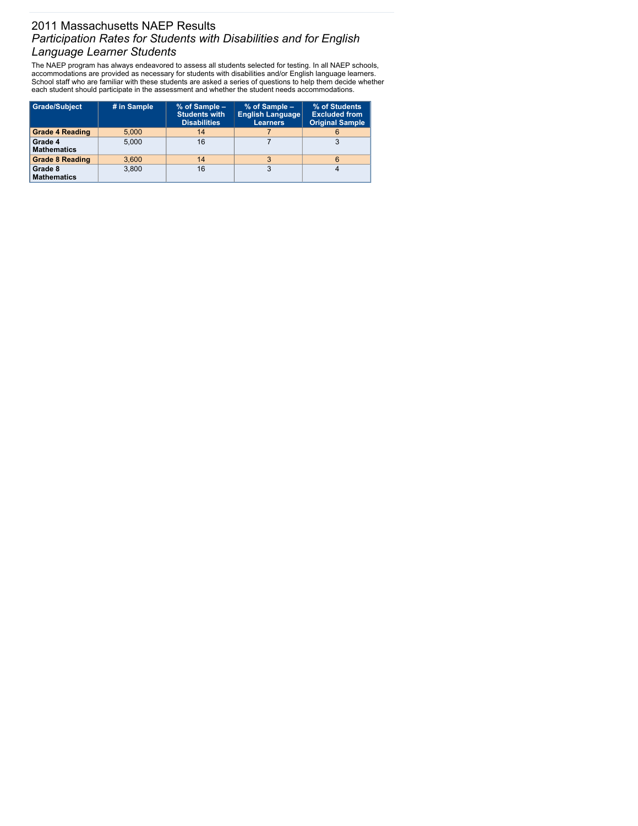# **2011 Massachusetts NAEP Results** *Participation Rates for Students with Disabilities and for English Language Learner Students*

**The NAEP program has always endeavored to assess all students selected for testing. In all NAEP schools, accommodations are provided as necessary for students with disabilities and/or English language learners.** School staff who are familiar with these students are asked a series of questions to help them decide whether **each student should participate in the assessment and whether the student needs accommodations.**

| Grade/Subject                 | # in Sample | % of Sample -<br><b>Students with</b><br><b>Disabilities</b> | % of Sample -<br><b>English Language</b><br><b>Learners</b> | % of Students<br><b>Excluded from</b><br><b>Original Sample</b> |
|-------------------------------|-------------|--------------------------------------------------------------|-------------------------------------------------------------|-----------------------------------------------------------------|
| <b>Grade 4 Reading</b>        | 5,000       | 14                                                           |                                                             | 6                                                               |
| Grade 4<br><b>Mathematics</b> | 5,000       | 16                                                           |                                                             | 3                                                               |
| <b>Grade 8 Reading</b>        | 3,600       | 14                                                           | 3                                                           | 6                                                               |
| Grade 8<br><b>Mathematics</b> | 3,800       | 16                                                           | 3                                                           |                                                                 |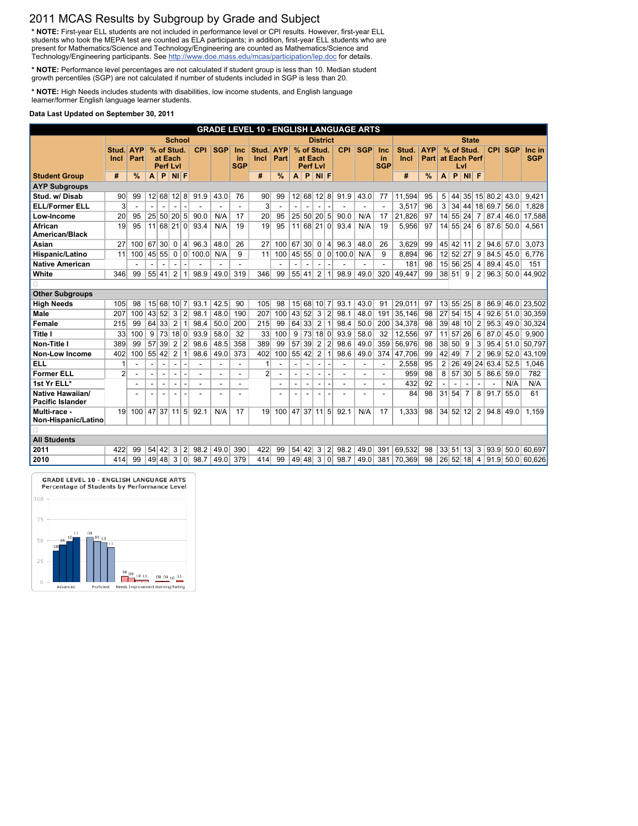# **2011 MCAS Results by Subgroup by Grade and Subject**

\* NOTE: First-year ELL students are not included in performance level or CPI results. However, first-year ELL students who took the MEPA test are counted as ELA participants; in addition, first-year ELL students who are **present for Mathematics/Science and Technology/Engineering are counted as Mathematics/Science and Technology/Engineering participants. See http://www.doe.mass.edu/mcas/participation/lep.doc for details.**

**\* NOTE: Performance level percentages are not calculated if student group is less than 10. Median student growth percentiles (SGP) are not calculated if number of students included in SGP is less than 20.**

**\* NOTE: High Needs includes students with disabilities, low income students, and English language learner/former English language learner students.**

#### **Data Last Updated on September 30, 2011**

|                                                    |                |                                |                    |                          |                          |                          |            |                          |                          | <b>GRADE LEVEL 10 - ENGLISH LANGUAGE ARTS</b> |                          |                          |                          |                          |                          |                 |                          |                |             |               |                 |    |                 |                 |               |            |                             |
|----------------------------------------------------|----------------|--------------------------------|--------------------|--------------------------|--------------------------|--------------------------|------------|--------------------------|--------------------------|-----------------------------------------------|--------------------------|--------------------------|--------------------------|--------------------------|--------------------------|-----------------|--------------------------|----------------|-------------|---------------|-----------------|----|-----------------|-----------------|---------------|------------|-----------------------------|
|                                                    |                |                                |                    |                          | <b>School</b>            |                          |            |                          |                          |                                               |                          |                          |                          |                          | <b>District</b>          |                 |                          |                |             |               |                 |    | <b>State</b>    |                 |               |            |                             |
|                                                    | <b>Stud</b>    | <b>AYP</b>                     |                    |                          | % of Stud.               |                          | <b>CPI</b> | <b>SGP</b>               | <b>Inc</b>               | Stud.                                         | <b>AYP</b>               |                          | % of Stud.               |                          |                          | <b>CPI</b>      | <b>SGP</b>               | <b>Inc</b>     | Stud.       | <b>AYP</b>    |                 |    | % of Stud.      |                 | <b>CPI</b>    | <b>SGP</b> | Inc in                      |
|                                                    | Incl           | <b>Part</b>                    |                    |                          | at Each                  |                          |            |                          | <u>in</u>                | <b>Incl</b>                                   | <b>Part</b>              |                          | at Each                  |                          |                          |                 |                          | <u>in</u>      | <b>Incl</b> | <b>Part</b>   |                 |    | at Each Perf    |                 |               |            | <b>SGP</b>                  |
|                                                    |                |                                |                    |                          | <b>Perf LvI</b>          |                          |            |                          | <b>SGP</b>               |                                               |                          |                          | <b>Perf Lvl</b><br>P     | $NI$ F                   |                          |                 |                          | <b>SGP</b>     |             |               |                 | P  | Lvl             |                 |               |            |                             |
| <b>Student Group</b>                               | #              | $\frac{0}{0}$                  | A                  | P                        | $NI$ F                   |                          |            |                          |                          | #                                             | $\frac{9}{6}$            | $\mathbf{A}$             |                          |                          |                          |                 |                          |                | #           | $\frac{0}{0}$ | A               |    | $NI$ F          |                 |               |            |                             |
| <b>AYP Subgroups</b><br>Stud. w/Disab              | 90             | 99                             | 12                 | 68                       | 12                       | 8                        | 91.9       | 43.0                     | 76                       | 90                                            | 99                       | 12                       | 68                       |                          | 12 8                     |                 | 43.0                     | 77             | 11,594      | 95            | 5               | 44 |                 |                 | $35 $ 15 80.2 | 43.0       | 9,421                       |
| <b>ELL/Former ELL</b>                              | 3              |                                |                    |                          |                          |                          |            |                          |                          | 3                                             |                          |                          |                          |                          |                          | 91.9            |                          |                | 3,517       | 96            | 3               | 34 |                 |                 | 44 18 69.7    | 56.0       | 1,828                       |
| Low-Income                                         | 20             | $\overline{\phantom{a}}$<br>95 | 25                 | 50 <sub>l</sub>          | 20 <sup>2</sup>          | 5 <sup>2</sup>           | 90.0       | N/A                      | $\blacksquare$<br>17     | 20                                            | 95                       |                          | 25 50                    | 20 <sup>1</sup>          | 5                        | 90.0            | N/A                      | 17             | 21,826      | 97            | 4               |    | 55 24           | $\overline{7}$  | 87.4          | 46.0       | 17,588                      |
| <b>African</b>                                     | 19             | 95                             | 11                 |                          | 68 21 0                  |                          | 93.4       | N/A                      | 19                       | 19                                            | 95                       |                          | 11 68 21 0               |                          |                          | 93.4            | N/A                      | 19             | 5,956       | 97            |                 |    | 14 55 24        | $6\phantom{1}6$ | 87.6          | 50.0       |                             |
| <b>American/Black</b>                              |                |                                |                    |                          |                          |                          |            |                          |                          |                                               |                          |                          |                          |                          |                          |                 |                          |                |             |               |                 |    |                 |                 |               |            | 4,561                       |
| <b>Asian</b>                                       | 27             | 100                            | 67                 | 30                       | 0                        | 4                        | 96.3       | 48.0                     | 26                       | 27                                            | 100                      | 67                       | 30 <sup>2</sup>          | $\mathbf 0$              | $\vert 4 \vert$          | 96.3            | 48.0                     | 26             | 3,629       | 99            | 45              | 42 | 11              | $\overline{2}$  | 94.6          | 57.0       | 3,073                       |
| <b>Hispanic/Latino</b>                             | 11             | 100                            | 45                 | 55                       | 0                        | $\vert 0 \vert$          | 100.0      | N/A                      | 9                        | 11                                            | 100                      | 45                       | 55                       | 0                        | 0                        | 100.0           | N/A                      | 9              | 8,894       | 96            | 12              | 52 | 27              | 9               | 84.5          | 45.0       | 6,776                       |
| <b>Native American</b>                             |                | $\blacksquare$                 |                    | $\overline{\phantom{a}}$ | $\overline{\phantom{a}}$ |                          |            |                          | ۰                        |                                               | $\overline{\phantom{a}}$ |                          |                          |                          |                          |                 |                          |                | 181         | 98            |                 |    | 15 56 25        | 4               | 89.4          | 45.0       | 151                         |
| <b>White</b>                                       | 346            | 99                             | 55                 | 41                       | $\overline{2}$           |                          | 98.9       | 49.0                     | 319                      | 346                                           | 99                       | 55                       | 41                       | $\overline{2}$           |                          | 98.9            | 49.0                     | 320            | 49,447      | 99            | 38              | 51 | 9               | $\overline{2}$  | 96.3          | 50.0       | 44,902                      |
|                                                    |                |                                |                    |                          |                          |                          |            |                          |                          |                                               |                          |                          |                          |                          |                          |                 |                          |                |             |               |                 |    |                 |                 |               |            |                             |
| <b>Other Subgroups</b>                             |                |                                |                    |                          |                          |                          |            |                          |                          |                                               |                          |                          |                          |                          |                          |                 |                          |                |             |               |                 |    |                 |                 |               |            |                             |
| <b>High Needs</b>                                  | 105            | 98                             |                    | 15 68                    | 10 <sup>1</sup>          | $\vert 7 \vert$          | 93.1       | 42.5                     | 90                       | 105                                           | 98                       |                          | 15 68                    | 10 <sup>1</sup>          | 7                        | 93.1            | 43.0                     | 91             | 29,011      | 97            |                 |    | 13 55 25        | 8               | 86.9          | 46.0       | 23,502                      |
| <b>Male</b>                                        | 207            | 100                            | 43                 | 52                       | 3                        | $\overline{2}$           | 98.1       | 48.0                     | 190                      | 207                                           | 100                      | 43                       | 52                       | 3                        | 2                        | 98.1            | 48.0                     | 191            | 35,146      | 98            | 27              | 54 | 15              | 4               | 92.6          | 51.0       | 30,359                      |
| Female                                             | 215            | 99                             | 64                 | 33                       | $\overline{2}$           |                          | 98.4       | 50.0                     | 200                      | 215                                           | 99                       | 64                       | 33                       | $\overline{2}$           |                          | 98.4            | 50.0                     | 200            | 34,378      | 98            | 39              |    | 48 10           | $\overline{2}$  | 95.3          | 49.0       | 30,324                      |
| <b>Title I</b>                                     | 33             | 100                            | 9                  | 73                       | 18                       | $\vert 0 \vert$          | 93.9       | 58.0                     | 32                       | 33                                            | 100                      | 9                        | 73                       | 18                       | $\mathbf 0$              | 93.9            | 58.0                     | 32             | 12,556      | 97            | 11              | 57 | 26              | 6               | 87.0          | 45.0       | 9,900                       |
| <b>Non-Title I</b>                                 | 389            | 99                             | 57                 | 39                       | $\overline{2}$           | $\overline{2}$           | 98.6       | 48.5                     | 358                      | 389                                           | 99                       | 57                       | 39                       | $\overline{2}$           | 2                        | 98.6            | 49.0                     | 359            | 56,976      | 98            | 38 <sup>2</sup> | 50 | 9               | 3               | 95.4          | 51.0       | 50,797                      |
| <b>Non-Low Income</b>                              | 402            | 100                            | 55                 | 42                       | $\overline{2}$           |                          | 98.6       | 49.0                     | 373                      | 402                                           | 100                      | 55                       | 42                       | $\overline{2}$           |                          | 98.6            | 49.0                     | 374            | 47,706      | 99            | 42              | 49 | $\overline{7}$  | $\overline{2}$  | 96.9          | 52.0       | 43,109                      |
| <b>ELL</b>                                         | 1              |                                |                    |                          |                          |                          |            |                          | $\overline{\phantom{0}}$ | 1                                             |                          |                          |                          |                          |                          |                 |                          |                | 2,558       | 95            | $\overline{2}$  | 26 | 49              | 24              | 63.4          | 52.5       | 1,046                       |
| <b>Former ELL</b>                                  | $\overline{2}$ |                                | $\blacksquare$     | $\overline{\phantom{a}}$ | $\sim$                   |                          |            | $\overline{\phantom{0}}$ | $\blacksquare$           | $\overline{2}$                                | $\overline{\phantom{a}}$ | $\overline{\phantom{a}}$ | $\overline{\phantom{a}}$ |                          |                          |                 | $\overline{\phantom{a}}$ | $\blacksquare$ | 959         | 98            | 8               | 57 | 30 <sup>2</sup> | $5\phantom{.0}$ | 86.6          | 59.0       | 782                         |
| 1st Yr ELL*                                        |                |                                |                    |                          | $\overline{\phantom{a}}$ |                          |            | $\overline{\phantom{a}}$ | $\sim$                   |                                               | $\overline{\phantom{a}}$ |                          |                          | $\overline{\phantom{a}}$ |                          |                 |                          |                | 432         | 92            |                 |    |                 |                 |               | N/A        | N/A                         |
| <b>Native Hawaiian/</b><br><b>Pacific Islander</b> |                |                                |                    |                          | $\sim$                   | $\overline{\phantom{a}}$ |            |                          |                          |                                               | $\overline{\phantom{a}}$ |                          | $\overline{\phantom{a}}$ |                          | $\overline{\phantom{a}}$ |                 |                          |                | 84          | 98            | 31              | 54 | $\overline{7}$  | 8               | 91.7          | 55.0       | 61                          |
| Multi-race -<br>Non-Hispanic/Latino                | 19             | 100                            | $ 47 $ 37   11   5 |                          |                          |                          | 92.1       | N/A                      | 17                       | 19                                            | 100                      |                          |                          |                          |                          | 47 37 11 5 92.1 | N/A                      | 17             | 1,333       | 98            |                 |    | 34 52 12 2      |                 | 94.8          | 49.0       | 1,159                       |
|                                                    |                |                                |                    |                          |                          |                          |            |                          |                          |                                               |                          |                          |                          |                          |                          |                 |                          |                |             |               |                 |    |                 |                 |               |            |                             |
| <b>All Students</b>                                |                |                                |                    |                          |                          |                          |            |                          |                          |                                               |                          |                          |                          |                          |                          |                 |                          |                |             |               |                 |    |                 |                 |               |            |                             |
| 2011                                               | 422            | 99                             |                    | 54 42                    | $\mathbf{3}$             | 2                        | 98.2       | 49.0                     | 390                      | 422                                           | 99                       |                          | 54 42 3                  |                          | 2                        | 98.2            | 49.0                     | 391            | 69,532      | 98            |                 |    | 33 51 13 3      |                 |               |            | 93.9 50.0 60,697            |
| 2010                                               | 414            | 99                             |                    | 49 48                    | $\mathbf{3}$             | 0                        | 98.7       | 49.0 379                 |                          | 414                                           | 99                       |                          | 49 48 3 0                |                          |                          | 98.7            | 49.0                     | 381            | 70,369      | 98            |                 |    |                 |                 |               |            | 26 52 18 4 91.9 50.0 60,626 |

**GRADE LEVEL 10 - ENGLISH LANGUAGE ARTS** Percentage of Students by Performance Level  $100 -$ 75 11 08 09 10 50  $-0.9$ 

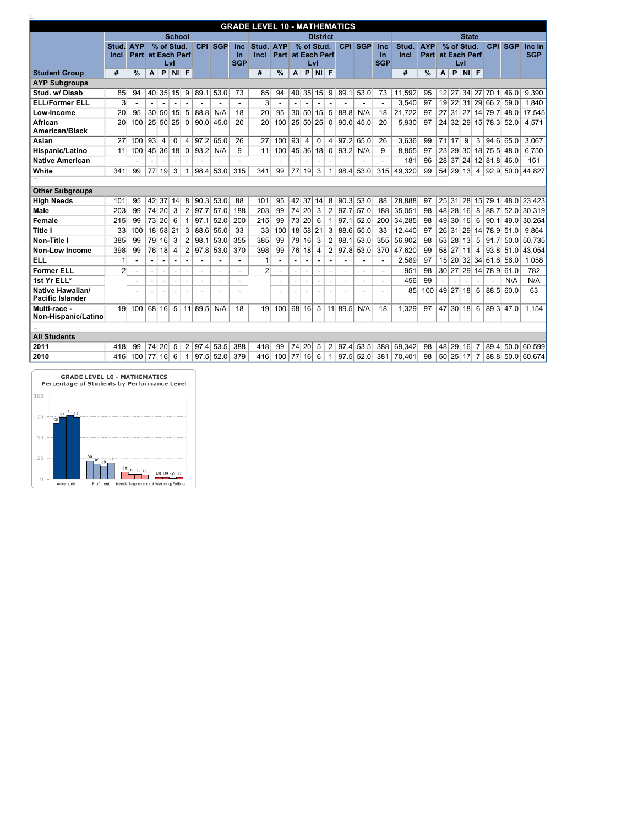|                                                    |                 |                |                 |                |                          |                          |            |             |                | <b>GRADE LEVEL 10 - MATHEMATICS</b> |                |                 |                 |                          |                |         |             |            |              |               |    |                    |              |                 |                       |                      |                    |
|----------------------------------------------------|-----------------|----------------|-----------------|----------------|--------------------------|--------------------------|------------|-------------|----------------|-------------------------------------|----------------|-----------------|-----------------|--------------------------|----------------|---------|-------------|------------|--------------|---------------|----|--------------------|--------------|-----------------|-----------------------|----------------------|--------------------|
|                                                    |                 |                |                 |                | <b>School</b>            |                          |            |             |                |                                     |                |                 |                 | <b>District</b>          |                |         |             |            |              |               |    |                    | <b>State</b> |                 |                       |                      |                    |
|                                                    | Stud.           | <b>AYP</b>     |                 |                | % of Stud.               |                          | <b>CPI</b> | <b>SGP</b>  | <b>Inc</b>     | Stud.                               | <b>AYP</b>     |                 | % of Stud.      |                          |                | CPI     | <b>SGP</b>  | <b>Inc</b> | Stud.        | <b>AYP</b>    |    |                    | % of Stud.   |                 | <b>CPI</b>            | <b>SGP</b>           | Inc in             |
|                                                    | <b>Incl</b>     | <b>Part</b>    |                 |                | at Each Perf             |                          |            |             | <u>in</u>      | <b>Incl</b>                         | <b>Part</b>    |                 | at Each Perf    |                          |                |         |             | <u>in</u>  | <b>Incl</b>  | <b>Part</b>   |    |                    | at Each Perf |                 |                       |                      | <b>SGP</b>         |
|                                                    |                 |                |                 |                | Lvl                      |                          |            |             | <b>SGP</b>     |                                     |                |                 |                 | Lvl                      |                |         |             | <b>SGP</b> |              |               |    |                    | Lvl          |                 |                       |                      |                    |
| <b>Student Group</b>                               | #               | $\frac{1}{2}$  | A               | P              | <b>NI</b>                | F                        |            |             |                | #                                   | $\%$           | A               | P               | <b>NI</b>                | $\mathsf{F}$   |         |             |            | #            | $\frac{9}{6}$ | A  | P                  | NI           | $\mathsf{F}$    |                       |                      |                    |
| <b>AYP Subgroups</b>                               |                 |                |                 |                |                          |                          |            |             |                |                                     |                |                 |                 |                          |                |         |             |            |              |               |    |                    |              |                 |                       |                      |                    |
| Stud. w/Disab                                      | 85              | 94             |                 | 40 35          | 15                       | 9                        | 89.1       | 53.0        | 73             | 85                                  | 94             |                 | 40 35 15        |                          | 9              | 89.1    | 53.0        | 73         | 11,592       | 95            |    |                    |              |                 | 12 27 34 27 70.1      | 46.0                 | 9,390              |
| <b>ELL/Former ELL</b>                              | $\overline{3}$  |                |                 |                |                          |                          |            |             |                | 3                                   |                |                 |                 |                          |                |         |             |            | 3,540        | 97            |    |                    |              |                 | 19 22 31 29 66.2      | 59.0                 | 1,840              |
| Low-Income                                         | 20              | 95             | 30 <sup>2</sup> | 50             | 15                       | $5\phantom{1}$           | 88.8       | N/A         | 18             | 20                                  | 95             | 30 <sup>2</sup> | 50 <sup>2</sup> | 15                       | $\overline{5}$ | 88.8    | N/A         | 18         | 21,722       | 97            | 27 | 31                 |              |                 | 27 14 79.7            | 48.0                 | 17,545             |
| <b>African</b><br><b>American/Black</b>            | 20              | 100            |                 | 25 50          | 25                       | $\boldsymbol{0}$         | 90.0       | 45.0        | 20             | 20                                  | 100            | 25              | 50 25           |                          | $\mathbf 0$    | 90.0    | 45.0        | 20         | 5,930        | 97            |    |                    |              |                 | 24 32 29 15 78.3      | 52.0                 | 4,571              |
| <b>Asian</b>                                       | 27              | 100            | 93              | 4              | $\mathbf 0$              | 4                        | 97.2       | 65.0        | 26             | 27                                  | 100            | 93              | 4               | $\mathbf 0$              | $\overline{4}$ | 97.2    | 65.0        | 26         | 3,636        | 99            | 71 | 17                 | 9            | $\mathbf{3}$    | 94.6                  | 65.0                 | 3,067              |
| Hispanic/Latino                                    | 11              | 100            |                 | 45 36          | 18                       | $\mathbf 0$              | 93.2       | N/A         | 9              | 11                                  | 100            |                 | 45 36           | 18                       | $\mathbf 0$    | 93.2    | N/A         | 9          | 8,855        | 97            |    |                    | 23 29 30     |                 | 18 75.5 48.0          |                      | 6,750              |
| <b>Native American</b>                             |                 |                |                 |                |                          |                          |            |             |                |                                     |                |                 |                 |                          |                |         |             |            | 181          | 96            |    |                    |              |                 | 28 37 24 12 81.8 46.0 |                      | 151                |
| <b>White</b>                                       | 341             | 99             | 77              | 19             | 3                        |                          | 98.4       | 53.0        | 315            | 341                                 | 99             | 77              | 19              | 3                        |                | 98.4    | 53.0        | 315        | 49,320       | 99            | 54 | $\vert$ 29 $\vert$ | 13           | 4               | 92.9                  | 50.0                 | 44,827             |
|                                                    |                 |                |                 |                |                          |                          |            |             |                |                                     |                |                 |                 |                          |                |         |             |            |              |               |    |                    |              |                 |                       |                      |                    |
| <b>Other Subgroups</b>                             |                 |                |                 |                |                          |                          |            |             |                |                                     |                |                 |                 |                          |                |         |             |            |              |               |    |                    |              |                 |                       |                      |                    |
| <b>High Needs</b>                                  | 101             | 95             | 42              | 37             | 14                       | 8                        | 90.3       | 53.0        | 88             | 101                                 | 95             | 42              | 37              | 14                       | 8              | 90.3    | 53.0        | 88         | 28,888       | 97            |    | 25 31              | 28           |                 | $15$ 79.1             |                      | 48.0 23,423        |
| <b>Male</b>                                        | 203             | 99             |                 | 74 20          | 3                        | $\overline{2}$           | 97.7       | 57.0        | 188            | 203                                 | 99             |                 | 74 20           | 3                        | $\overline{2}$ | 97.7    | 57.0        | 188        | 35,051       | 98            |    | 48 28              | 16           | 8               | 88.7                  | 52.0                 | 30,319             |
| <b>Female</b>                                      | 215             | 99             | 73              | 20             | 6                        |                          | 97.1       | 52.0        | 200            | 215                                 | 99             |                 | 73 20           | 6                        |                | 97.1    | 52.0        | 200        | 34,285       | 98            |    |                    | 49 30 16     | 6               | 90.1                  |                      | 49.0 30,264        |
| <b>Title I</b>                                     | 33              | 100            | 18              | 58             | 21                       | 3                        | 88.6       | 55.0        | 33             | 33                                  | 100            | 18              | 58 21           |                          | 3              | 88.6    | 55.0        | 33         | 12,440       | 97            |    | 26 31              | 29           | 14              | 78.9                  | 51.0                 | 9,864              |
| <b>Non-Title I</b>                                 | 385             | 99             | 79              | 16             | 3                        | $\overline{2}$           | 98.1       | 53.0        | 355            | 385                                 | 99             | 79              | 16              | 3                        | $\overline{2}$ | 98.1    | 53.0        | 355        | 56,902       | 98            |    |                    | 53 28 13     | $5\phantom{.0}$ | 91.7                  | 50.0                 | 50,735             |
| <b>Non-Low Income</b>                              | 398             | 99             | 76              | 18             | 4                        | $\overline{2}$           | 97.8       | 53.0        | 370            | 398                                 | 99             | 76              | 18              | 4                        | $\overline{2}$ | 97.8    | 53.0        | 370        | 47,620       | 99            |    | 58 27              | 11           | $\overline{4}$  | 93.8                  | 51.0                 | 43,054             |
| <b>ELL</b>                                         |                 | $\overline{a}$ |                 | $\blacksquare$ | $\overline{\phantom{a}}$ | $\overline{\phantom{0}}$ |            |             | $\blacksquare$ |                                     | $\blacksquare$ | $\blacksquare$  |                 | $\overline{\phantom{a}}$ |                |         | $\sim$      | $\sim$     | 2,589        | 97            |    |                    | 15 20 32 34  |                 | 61.6                  | 56.0                 | 1,058              |
| <b>Former ELL</b>                                  | $\overline{2}$  |                |                 |                | $\overline{\phantom{a}}$ | $\overline{\phantom{a}}$ |            |             | $\blacksquare$ | $\overline{2}$                      |                |                 |                 |                          |                |         |             | ۰          | 951          | 98            |    |                    |              |                 | 30 27 29 14 78.9      | 61.0                 | 782                |
| 1st Yr ELL*                                        |                 |                |                 |                |                          |                          |            |             |                |                                     | -              |                 |                 |                          |                |         |             |            | 456          | 99            |    |                    |              |                 |                       | N/A                  | N/A                |
| <b>Native Hawaiian/</b><br><b>Pacific Islander</b> |                 |                |                 |                |                          |                          |            |             |                |                                     |                |                 |                 |                          |                |         |             |            | 85           | 100  49 27 18 |    |                    |              | $6\phantom{1}6$ |                       | 88.5 60.0            | 63                 |
| Multi-race -<br>Non-Hispanic/Latino                | 19 <sup>1</sup> | 100            | 68  16          |                | 5                        |                          | 11 89.5    | N/A         | 18             | 19 <sup>°</sup>                     | 100   68   16  |                 |                 | $5\overline{)}$          |                | 11 89.5 | N/A         | 18         | 1,329        | 97            |    |                    |              |                 |                       | 47 30 18 6 89.3 47.0 | 1,154              |
|                                                    |                 |                |                 |                |                          |                          |            |             |                |                                     |                |                 |                 |                          |                |         |             |            |              |               |    |                    |              |                 |                       |                      |                    |
| <b>All Students</b>                                |                 |                |                 |                |                          |                          |            |             |                |                                     |                |                 |                 |                          |                |         |             |            |              |               |    |                    |              |                 |                       |                      |                    |
| 2011                                               | 418             | 99             |                 | 74 20          | 5 <sup>5</sup>           | 2                        | 97.4       | 53.5        | 388            | 418                                 | 99             |                 | 74 20           | $5\overline{)}$          | $\overline{2}$ |         | 97.4 53.5   | 388        | 69,342       | 98            |    |                    | 48 29 16     | -7              | 89.4                  |                      | 50.0 60,599        |
| 2010                                               | 416             | 100            | 77 16           |                | 6                        |                          |            | $97.5$ 52.0 | 379            | 416                                 | 100            |                 | 77 16 6         |                          |                |         | $97.5$ 52.0 |            | 381   70,401 | 98            |    |                    | 50 25 17 7   |                 |                       |                      | 88.8  50.0  60,674 |
|                                                    |                 |                |                 |                |                          |                          |            |             |                |                                     |                |                 |                 |                          |                |         |             |            |              |               |    |                    |              |                 |                       |                      |                    |

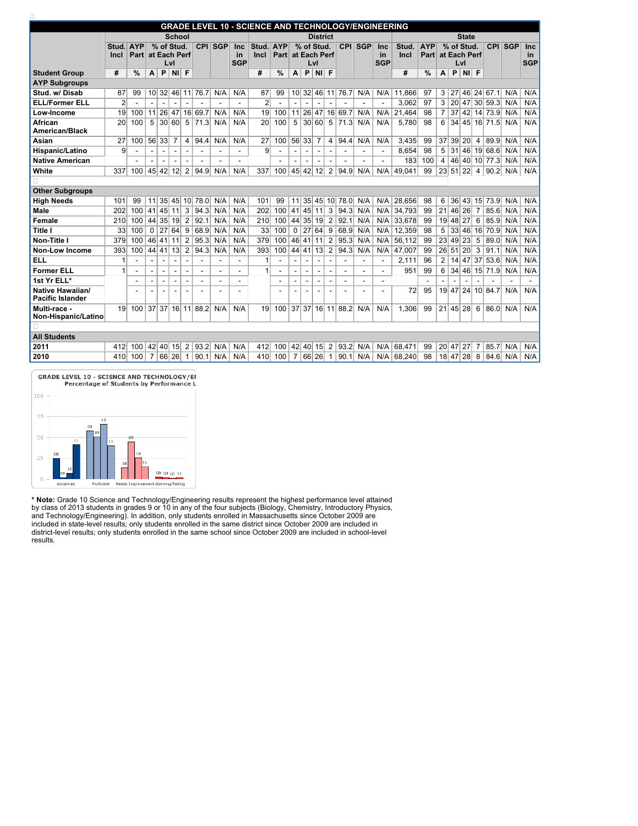**GRADE LEVEL 10 - SCIENCE AND TECHNOLOGY/ENGINEERING Student Group School District State Stud. AYP Incl Part at Each Perf % of Stud. Lvl CPI SGP Inc in SGP Stud. AYP % of Stud. Incl Part at Each Perf Lvl CPI SGP Inc in SGP Stud. AYP Incl Part % of Stud. CPI SGP Inc at Each Perf Lvl in SGP # % A P NI F # % A P NI F # % A P NI F AYP Subgroups Stud. w/ Disab** | 87 | 99 | 10 | 32 | 46 | 11 | 76.7 | N/A | N/A | 87 | 99 | 10 | 32 | 46 | 11 | 76.7 | N/A | N/A | N/A | 11,866 | 97 | 3 | 27 | 46 | 24 | 67.1 | N/A | N/A **ELL/Former ELL 2 - - - - - - - - 2 - - - - - - - - 3,062 97 3 20 47 30 59.3 N/A N/A** Low-Income 19 100 11 26 47 16 69.7 N/A N/A 19 100 11 26 47 16 69.7 N/A N/A 21,464 98 7 37 42 14 73.9 N/A N/A **African American/Black** 20 100 5 30 60 5 71.3 N/A N/A 20 100 5 30 60 5 71.3 N/A N/A 5,780 98 6 34 45 16 71.5 N/A N/A Asian 27 | 27 | 100 | 56 | 33 | 7 | 4 | 94.4 | N/A | N/A | 27 | 100 | 56 | 33 | 7 | 4 | 94.4 | N/A | N/A | N/A | 3,435 | 99 | 37 | 39 | 20 | 4 | 89.9 | N/A | N/A **Hispanic/Latino 9 - - - - - - - - 9 - - - - - - - - 8,654 98 5 31 46 19 68.6 N/A N/A Native American - - - - - - - - - - - - - - - - 183 100 4 46 40 10 77.3 N/A N/A** White 190.2 120 1337 100 45 42 42 12 2 94.9 N/A | N/A | 337 100 45 42 12 2 94.9 N/A | N/A | 49,041 99 23 51 22 4 90.2 N/A | N/A  $\Box$ **Other Subgroups** High Needs | 101 99 11 35 45 10 78.0 N/A | N/A | 101 99 11 35 45 10 78.0 N/A | N/A | 28,656 98 | 6 36 43 15 73.9 N/A | N/A Male | 202| 100 |41| 45| 11| 3 | 94.3| N/A | N/A | 202| 100 |41| 45| 11| 3 | 94.3| N/A | N/A | 34,793| 99 |21| 46| 26| 7 | 85.6| N/A | N/A Female 210 100 44 35 19 2 92.1 N/A N/A 210 100 44 35 19 2 92.1 N/A N/A 33,678 99 19 48 27 6 85.9 N/A N/A Title I 33 100 0 27 64 9 68.9 N/A N/A 33 100 0 27 64 9 68.9 N/A N/A 12,359 98 5 33 46 16 70.9 N/A N/A Non-Title I 379 100 46 41 11 2 95.3 N/A N/A 379 100 46 41 11 2 95.3 N/A N/A 56,112 99 23 49 23 5 89.0 N/A N/A **Non-Low Income** | 393 100 44 41 13 2 94.3 N/A N/A 393 100 44 41 13 2 94.3 N/A N/A 47,007 99 26 51 20 3 91.1 N/A N/A **ELL 1 - - - - - - - - 1 - - - - - - - - 2,111 96 2 14 47 37 53.6 N/A N/A Former ELL**  $|1|$   $|$   $|$   $|$   $|$   $|$   $|$   $|$   $|$   $|$   $|$   $|$   $|$   $|$   $|$   $|$   $|$   $|$   $|$   $|$   $|$   $|$   $|$   $|$   $|$   $|$   $-$ **1st Yr ELL\* - - - - - - - - - - - - - - - - - - - - - - - - Native Hawaiian/ Pacific Islander - - - - - - - - - - - - - - - - 72 95 19 47 24 10 84.7 N/A N/A Multi-race - Non-Hispanic/Latino** 19 100 37 37 16 11 88.2 N/A N/A 19 100 37 37 16 11 88.2 N/A N/A 1,306 99 21 45 28 6 86.0 N/A N/A  $\Box$ **All Students** 2011 412 40 42 40 15 2 93.2 N/A N/A 412 100 42 40 15 2 93.2 N/A N/A 68,471 99 20 47 27 7 85.7 N/A N/A 2010 410 100 7 66 26 1 90.1 N/A N/A 410 100 7 66 26 1 90.1 N/A N/A 88,240 98 18 47 28 8 84.6 N/A N/A



**\* Note: Grade 10 Science and Technology/Engineering results represent the highest performance level attained** by class of 2013 students in grades 9 or 10 in any of the four subjects (Biology, Chemistry, Introductory Physics, **and Technology/Engineering). In addition, only students enrolled in Massachusetts since October 2009 are** included in state-level results; only students enrolled in the same district since October 2009 are included in district-level results; only students enrolled in the same school since October 2009 are included in school-level **results.**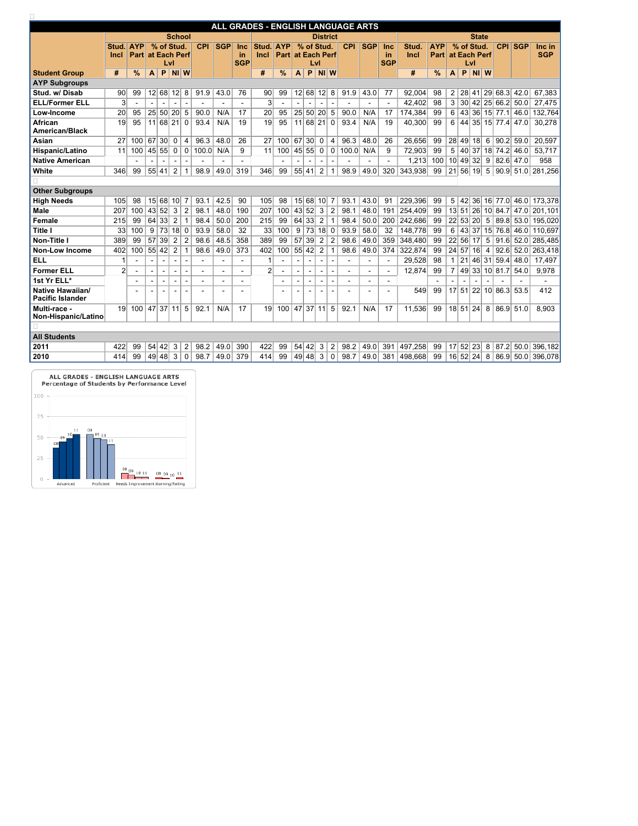|                                                    |                |                          |    |                          |                |                 |                |                |            | ALL GRADES - ENGLISH LANGUAGE ARTS |                          |                |                |                 |                          |            |            |                          |         |               |                |       |              |                 |                    |                 |                   |
|----------------------------------------------------|----------------|--------------------------|----|--------------------------|----------------|-----------------|----------------|----------------|------------|------------------------------------|--------------------------|----------------|----------------|-----------------|--------------------------|------------|------------|--------------------------|---------|---------------|----------------|-------|--------------|-----------------|--------------------|-----------------|-------------------|
|                                                    |                |                          |    |                          | <b>School</b>  |                 |                |                |            |                                    |                          |                |                | <b>District</b> |                          |            |            |                          |         |               |                |       | <b>State</b> |                 |                    |                 |                   |
|                                                    | Stud.          | <b>AYP</b>               |    | % of Stud.               |                |                 | <b>CPI</b>     | <b>SGP</b>     | <b>Inc</b> | Stud.                              | <b>AYP</b>               |                |                | % of Stud.      |                          | <b>CPI</b> | <b>SGP</b> | <b>Inc</b>               | Stud.   | <b>AYP</b>    |                |       | % of Stud.   |                 | <b>CPI</b>         | <b>SGP</b>      | Inc in            |
|                                                    | <b>Incl</b>    | <b>Part at Each Perf</b> |    |                          |                |                 |                |                | <b>in</b>  | <b>Incl</b>                        | <b>Part at Each Perf</b> |                |                |                 |                          |            |            | in                       | Incl    | <b>Part</b>   |                |       | at Each Perf |                 |                    |                 | <b>SGP</b>        |
|                                                    |                |                          |    | Lvl                      |                |                 |                |                | <b>SGP</b> |                                    |                          |                | Lvl            |                 |                          |            |            | <b>SGP</b>               |         |               |                |       | Lvl          |                 |                    |                 |                   |
| <b>Student Group</b>                               | #              | $\frac{9}{6}$            | A  | P                        | $NI$ W         |                 |                |                |            | #                                  | $\frac{0}{0}$            | A              | P              | $NI$ W          |                          |            |            |                          | #       | $\frac{9}{6}$ | A              | P     | $NI$ W       |                 |                    |                 |                   |
| <b>AYP Subgroups</b>                               |                |                          |    |                          |                |                 |                |                |            |                                    |                          |                |                |                 |                          |            |            |                          |         |               |                |       |              |                 |                    |                 |                   |
| Stud. w/Disab                                      | 90             | 99                       |    | 12 68                    | 12             | 8               | 91.9           | 43.0           | 76         | 90                                 | 99                       |                | 12 68          | 12              | 8                        | 91.9       | 43.0       | 77                       | 92,004  | 98            | $\overline{2}$ |       |              |                 | 28 41 29 68.3 42.0 |                 | 67,383            |
| <b>ELL/Former ELL</b>                              | 3              |                          |    |                          |                |                 |                |                |            | 3                                  |                          |                |                |                 |                          |            |            |                          | 42,402  | 98            | 3              |       |              |                 | 30 42 25 66.2 50.0 |                 | 27,475            |
| Low-Income                                         | 20             | 95                       |    | 25 50                    | 20             | $5\phantom{.0}$ | 90.0           | N/A            | 17         | 20                                 | 95                       |                | 25 50          | 20 <sup>2</sup> | 5                        | 90.0       | N/A        | 17                       | 174,384 | 99            | 6              | 43    |              |                 | 36 15 77.1         | 46.0            | 132,764           |
| <b>African</b><br><b>American/Black</b>            | 19             | 95                       |    | 11 68 21                 |                | $\mathbf 0$     | 93.4           | N/A            | 19         | 19                                 | 95                       | 11             | 68             | 21              | $\mathbf 0$              | 93.4       | N/A        | 19                       | 40,300  | 99            | 6              |       |              |                 | 44 35 15 77.4      | 47.0            | 30,278            |
| Asian                                              | 27             | 100                      | 67 | 30 <sup>1</sup>          | $\mathbf 0$    | 4               | 96.3           | 48.0           | 26         | 27                                 | 100                      | 67             | 30             | 0               | $\overline{4}$           | 96.3       | 48.0       | 26                       | 26,656  | 99            |                | 28 49 | 18           | $6\overline{6}$ | 90.2               | 59.0            | 20,597            |
| <b>Hispanic/Latino</b>                             | 11             | 100                      |    | 45 55                    | $\overline{0}$ | $\mathbf 0$     | 100.0          | N/A            | 9          | 11                                 | 100                      | 45 55          |                | 0               | $\overline{0}$           | 100.0      | N/A        | 9                        | 72,903  | 99            | 5              |       | 40 37        |                 | 18 74.2 46.0       |                 | 53,717            |
| <b>Native American</b>                             |                |                          |    |                          |                |                 |                |                |            |                                    |                          |                |                |                 |                          |            |            |                          | 1,213   | 100           |                |       | 10 49 32 9   |                 | $ 82.6 $ 47.0      |                 | 958               |
| <b>White</b>                                       | 346            | 99                       |    | 55 41                    | $\overline{2}$ |                 | 98.9           | 49.0           | 319        | 346                                | 99                       | 55 41          |                | 2 <sup>1</sup>  |                          | 98.9       | 49.0       | 320                      | 343,938 | 99            | 21             | 56    | 19           | 5               | 90.9               | 51.0            | 281,256           |
|                                                    |                |                          |    |                          |                |                 |                |                |            |                                    |                          |                |                |                 |                          |            |            |                          |         |               |                |       |              |                 |                    |                 |                   |
| <b>Other Subgroups</b>                             |                |                          |    |                          |                |                 |                |                |            |                                    |                          |                |                |                 |                          |            |            |                          |         |               |                |       |              |                 |                    |                 |                   |
| <b>High Needs</b>                                  | 105            | 98                       |    | 15 68                    | 10             |                 | 93.1           | 42.5           | 90         | 105                                | 98                       |                | 15 68          | 10 <sup>1</sup> | 7                        | 93.1       | 43.0       | 91                       | 229,396 | 99            | 5              | 42    |              |                 |                    | 36 16 77.0 46.0 | 173,378           |
| <b>Male</b>                                        | 207            | 100                      | 43 | 52                       | 3              | $\overline{2}$  | 98.1           | 48.0           | 190        | 207                                | 100                      | 43             | 52             | 3               | $\overline{2}$           | 98.1       | 48.0       | 191                      | 254,409 | 99            |                | 13 51 | 26           |                 |                    | 10 84.7 47.0    | 201,101           |
| <b>Female</b>                                      | 215            | 99                       | 64 | 33                       | 2              |                 | 98.4           | 50.0           | 200        | 215                                | 99                       | 64             | 33             | $\overline{2}$  |                          | 98.4       | 50.0       | 200                      | 242,686 | 99            |                |       | 22 53 20     | 5               |                    | 89.8 53.0       | 195,020           |
| <b>Title I</b>                                     | 33             | 100                      | 9  | 73                       | 18             | $\mathbf 0$     | 93.9           | 58.0           | 32         | 33                                 | 100                      | 9              | 73             | 18              | $\boldsymbol{0}$         | 93.9       | 58.0       | 32                       | 148,778 | 99            | 6              |       | 43 37        |                 | 15 76.8            | 46.0            | 110,697           |
| <b>Non-Title I</b>                                 | 389            | 99                       | 57 | 39                       | $\overline{2}$ | $\overline{2}$  | 98.6           | 48.5           | 358        | 389                                | 99                       | 57             | 39             | $\overline{2}$  | $\overline{2}$           | 98.6       | 49.0       | 359                      | 348,480 | 99            | 22             | 56    | 17           | $-51$           | 91.6               | 52.0            | 285,485           |
| <b>Non-Low Income</b>                              | 402            | 100                      | 55 | 42                       | $\overline{2}$ |                 | 98.6           | 49.0           | 373        | 402                                | 100                      | 55             | 42             | 2 <sup>1</sup>  |                          | 98.6       | 49.0       | 374                      | 322,874 | 99            |                | 24 57 | 16           | $\overline{4}$  | 92.6               | 52.0            | 263,418           |
| <b>ELL</b>                                         | 1              | ÷.                       |    | $\overline{\phantom{0}}$ | $\sim$         | $\sim$          | $\blacksquare$ | $\blacksquare$ |            |                                    |                          | $\blacksquare$ | $\blacksquare$ | $\blacksquare$  | $\overline{\phantom{a}}$ |            |            | $\overline{\phantom{a}}$ | 29,528  | 98            |                | 21    |              |                 | 46 31 59.4         | 48.0            | 17,497            |
| <b>Former ELL</b>                                  | $\overline{2}$ |                          |    |                          |                |                 |                |                |            | $\overline{2}$                     |                          |                | $\sim$         |                 | $\overline{\phantom{a}}$ |            |            |                          | 12,874  | 99            |                |       |              |                 | 49 33 10 81.7      | 54.0            | 9,978             |
| 1st Yr ELL*                                        |                |                          |    |                          |                |                 |                |                |            |                                    |                          |                |                |                 |                          |            |            |                          |         |               |                |       |              |                 |                    |                 |                   |
| <b>Native Hawaiian/</b><br><b>Pacific Islander</b> |                |                          |    |                          |                |                 |                |                |            |                                    |                          |                |                |                 |                          |            |            |                          | 549     | aa            |                |       |              |                 | 17 51 22 10 86.3   | 53.5            | 412               |
| Multi-race -<br>Non-Hispanic/Latino                |                | $19$ 100 47 37 11        |    |                          |                | 5 <sup>5</sup>  | 92.1           | N/A            | 17         | 19                                 | $100$   47   37   11   5 |                |                |                 |                          | 92.1       | N/A        | 17                       | 11,536  | 99            |                |       | 18 51 24 8   |                 |                    | 86.9 51.0       | 8,903             |
|                                                    |                |                          |    |                          |                |                 |                |                |            |                                    |                          |                |                |                 |                          |            |            |                          |         |               |                |       |              |                 |                    |                 |                   |
| <b>All Students</b>                                |                |                          |    |                          |                |                 |                |                |            |                                    |                          |                |                |                 |                          |            |            |                          |         |               |                |       |              |                 |                    |                 |                   |
| 2011                                               | 422            | 99                       |    | 54 42                    | 3              | $\overline{2}$  | 98.2           | 49.0           | 390        | 422                                | 99                       | 54 42          |                | 3               | $\overline{2}$           | 98.2       | 49.0       | 391                      | 497,258 | 99            |                |       | 17 52 23 8   |                 |                    |                 | 87.2 50.0 396,182 |
| 2010                                               | 414            | 99                       |    | 49 48 3                  |                | 0               | 98.7           | 49.0           | 379        | 414                                | 99                       |                |                | 49 48 3         | 0                        | 98.7       | 49.0       | 381                      | 498,668 | 99            |                |       | 16 52 24 8   |                 |                    |                 | 86.9 50.0 396,078 |
|                                                    |                |                          |    |                          |                |                 |                |                |            |                                    |                          |                |                |                 |                          |            |            |                          |         |               |                |       |              |                 |                    |                 |                   |

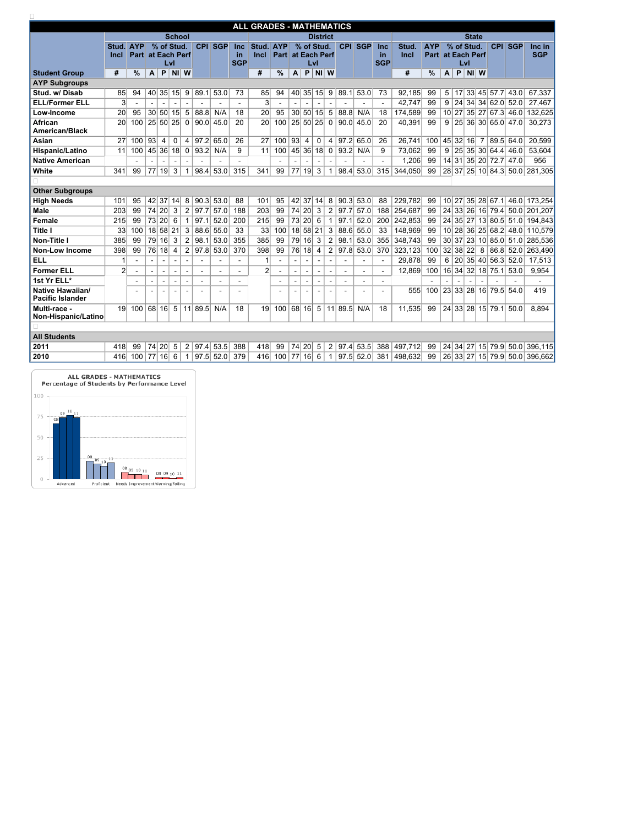|                                                    | <b>ALL GRADES - MATHEMATICS</b><br><b>School</b><br><b>District</b> |                 |               |                 |                          |                          |                 |                         |                          |                          |                |               |                 |                          |                          |                 |                       |            |                         |                       |               |    |              |                     |                |                  |            |                               |
|----------------------------------------------------|---------------------------------------------------------------------|-----------------|---------------|-----------------|--------------------------|--------------------------|-----------------|-------------------------|--------------------------|--------------------------|----------------|---------------|-----------------|--------------------------|--------------------------|-----------------|-----------------------|------------|-------------------------|-----------------------|---------------|----|--------------|---------------------|----------------|------------------|------------|-------------------------------|
|                                                    |                                                                     |                 |               |                 |                          |                          |                 |                         |                          |                          |                |               |                 |                          |                          |                 |                       |            |                         |                       |               |    |              | <b>State</b>        |                |                  |            |                               |
|                                                    |                                                                     | Stud.           | <b>AYP</b>    |                 | % of Stud.               |                          |                 | <b>CPI</b>              | <b>SGP</b>               | Inc                      | Stud.          | <b>AYP</b>    |                 | % of Stud.               |                          |                 | <b>CPI</b>            | <b>SGP</b> | <b>Inc</b>              | <b>Stud</b>           | <b>AYP</b>    |    |              | % of Stud.          |                | CPI              | <b>SGP</b> | Inc in                        |
|                                                    |                                                                     | <b>Incl</b>     | <b>Part</b>   |                 | at Each Perf             | Lvl                      |                 |                         |                          | <u>in</u><br><b>SGP</b>  | Incl           | <b>Part</b>   |                 | at Each Perf             | Lvl                      |                 |                       |            | <u>in</u><br><b>SGP</b> | Incl                  | Part          |    |              | at Each Perf<br>Lvl |                |                  |            | <b>SGP</b>                    |
| <b>Student Group</b>                               |                                                                     | #               | $\frac{0}{0}$ | A               | P                        | <b>NI</b>                | W               |                         |                          |                          | $\#$           | $\frac{9}{6}$ | A               | $\mathsf{P}$             | $NI$ W                   |                 |                       |            |                         | $\#$                  | $\frac{0}{0}$ | A  | $\mathsf{P}$ | NI W                |                |                  |            |                               |
| <b>AYP Subgroups</b>                               |                                                                     |                 |               |                 |                          |                          |                 |                         |                          |                          |                |               |                 |                          |                          |                 |                       |            |                         |                       |               |    |              |                     |                |                  |            |                               |
| Stud. w/Disab                                      |                                                                     | 85              | 94            | 40              |                          | 35 15                    | 9               | 89.1                    | 53.0                     | 73                       | 85             | 94            |                 | 40 35 15                 |                          | 9               | 89.1                  | 53.0       | 73                      | 92,185                | 99            | 5  | 17           |                     |                | 33  45  57.7     | 43.0       | 67,337                        |
| <b>ELL/Former ELL</b>                              |                                                                     | 3               |               |                 |                          |                          |                 |                         |                          |                          | 3              |               |                 |                          |                          |                 |                       |            |                         | 42,747                | 99            | 9  |              |                     |                | 24 34 34 62.0    | 52.0       | 27,467                        |
| Low-Income                                         |                                                                     | 20              | 95            | 30 <sup>2</sup> | 50                       | 15                       | $5\phantom{.0}$ | 88.8                    | N/A                      | 18                       | 20             | 95            | 30 <sup>2</sup> | 50 <sup>1</sup>          | 15                       | $5\overline{)}$ | 88.8                  | N/A        | 18                      | 174,589               | 99            |    |              |                     |                | 10 27 35 27 67.3 | 46.0       | 132,625                       |
| <b>African</b>                                     |                                                                     | 20              | 100           |                 | 25 50 25                 |                          | $\mathbf 0$     | 90.0                    | 45.0                     | 20                       | 20             | 100           |                 | 25 50 25                 |                          | $\overline{0}$  | 90.0                  | 45.0       | 20                      | 40,391                | 99            | 9  |              |                     |                | 25 36 30 65.0    | 47.0       | 30,273                        |
| <b>American/Black</b>                              |                                                                     |                 |               |                 |                          |                          |                 |                         |                          |                          |                |               |                 |                          |                          |                 |                       |            |                         |                       |               |    |              |                     |                |                  |            |                               |
| <b>Asian</b>                                       |                                                                     | 27              | 100           | 93              | 4                        | $\mathbf 0$              | 4               | 97.2                    | 65.0                     | 26                       | 27             | 100           | 93              | $\overline{4}$           | $\mathbf 0$              | $\overline{4}$  | 97.2                  | 65.0       | 26                      | 26,741                | 100           |    |              | 45 32 16            | $\overline{7}$ | 89.5             | 64.0       | 20,599                        |
| Hispanic/Latino                                    |                                                                     | 11              | 100           |                 | 45 36                    | 18                       | $\overline{0}$  | 93.2                    | N/A                      | 9                        | 11             | 100           |                 | 45 36                    | 18                       | $\overline{0}$  | 93.2                  | N/A        | 9                       | 73,062                | 99            | 9  |              |                     |                | 25 35 30 64.4    | 46.0       | 53,604                        |
| <b>Native American</b>                             |                                                                     |                 |               |                 |                          |                          |                 |                         |                          |                          |                |               |                 |                          |                          |                 |                       |            |                         | 1,206                 | 99            |    |              |                     |                | 14 31 35 20 72.7 | 47.0       | 956                           |
| <b>White</b>                                       |                                                                     | 341             | 99            | 77              | 19                       | 3                        |                 | 98.4                    | 53.0                     | 315                      | 341            | 99            | 77              | 19                       | 3                        | 1               | 98.4                  | 53.0       | 315                     | 344,050               | 99            | 28 | 37           | 25                  |                | 10 84.3          | 50.0       | 281,305                       |
|                                                    |                                                                     |                 |               |                 |                          |                          |                 |                         |                          |                          |                |               |                 |                          |                          |                 |                       |            |                         |                       |               |    |              |                     |                |                  |            |                               |
| <b>Other Subgroups</b>                             |                                                                     |                 |               |                 |                          |                          |                 |                         |                          |                          |                |               |                 |                          |                          |                 |                       |            |                         |                       |               |    |              |                     |                |                  |            |                               |
| <b>High Needs</b>                                  |                                                                     | 101             | 95            | 42              | 37                       | 14                       | 8               | 90.3                    | 53.0                     | 88                       | 101            | 95            | 42              | 37                       | 14                       | 8               | 90.3                  | 53.0       | 88                      | 229,782               | 99            |    |              |                     |                | 10 27 35 28 67.1 | 46.0       | 173,254                       |
| <b>Male</b>                                        |                                                                     | 203             | 99            | 74              | 20 <sup>2</sup>          | 3                        | 2               | 97.7                    | 57.0                     | 188                      | 203            | 99            | 74              | 20 <sup>2</sup>          | 3                        | $\overline{2}$  | 97.7                  | 57.0       | 188                     | 254,687               | 99            |    |              |                     |                | 24 33 26 16 79.4 | 50.0       | 201,207                       |
| <b>Female</b>                                      |                                                                     | 215             | 99            | 73              | 20 <sup>1</sup>          | 6                        |                 | 97.1                    | 52.0                     | 200                      | 215            | 99            | 73              | 20 <sup>1</sup>          | 6                        | -1              | 97.1                  | 52.0       | 200                     | 242,853               | 99            |    |              |                     |                | 24 35 27 13 80.5 | 51.0       | 194,843                       |
| <b>Title I</b>                                     |                                                                     | 33              | 100           |                 | 18 58 21                 |                          | 3               | 88.6                    | 55.0                     | 33                       | 33             | 100           |                 | 18 58                    | 21                       | 3               | 88.6                  | 55.0       | 33                      | 148,969               | 99            |    |              | 10 28 36            |                | 2566.2           | 48.0       | 110,579                       |
| <b>Non-Title I</b>                                 |                                                                     | 385             | 99            | 79              | 16                       | $\mathbf{3}$             | $\overline{2}$  | 98.1                    | 53.0                     | 355                      | 385            | 99            | 79              | 16                       | 3                        | $\overline{2}$  | 98.1                  | 53.0       | 355                     | 348,743               | 99            |    |              |                     |                | 30 37 23 10 85.0 | 51.0       | 285,536                       |
| <b>Non-Low Income</b>                              |                                                                     | 398             | 99            | 76              | 18                       | 4                        | 2               | 97.8                    | 53.0                     | 370                      | 398            | 99            | 76              | 18                       | 4                        | 2 <sup>1</sup>  | 97.8                  | 53.0       | 370                     | 323,123               | 100           | 32 | 38           | 22                  | $\,8\,$        | 86.8             | 52.0       | 263,490                       |
| <b>ELL</b>                                         |                                                                     |                 |               | $\blacksquare$  | $\overline{\phantom{a}}$ | $\overline{\phantom{a}}$ |                 |                         |                          |                          | -1             |               |                 | $\overline{\phantom{a}}$ | $\overline{\phantom{0}}$ |                 |                       |            | $\blacksquare$          | 29,878                | 99            | 6  |              |                     |                | 20 35 40 56.3    | 52.0       | 17,513                        |
| <b>Former ELL</b>                                  |                                                                     | $\overline{2}$  |               |                 | $\overline{\phantom{a}}$ |                          |                 |                         | $\overline{\phantom{a}}$ |                          | $\overline{2}$ |               |                 | $\overline{\phantom{a}}$ |                          |                 |                       |            | $\blacksquare$          | 12,869                | 100           |    |              |                     |                | 16 34 32 18 75.1 | 53.0       | 9,954                         |
| 1st Yr ELL*                                        |                                                                     |                 |               |                 |                          |                          |                 |                         |                          | $\overline{\phantom{0}}$ |                |               |                 |                          |                          |                 |                       |            |                         |                       |               |    |              |                     |                |                  |            |                               |
| <b>Native Hawaiian/</b><br><b>Pacific Islander</b> |                                                                     |                 |               |                 |                          |                          |                 |                         |                          |                          |                |               |                 |                          |                          |                 |                       |            |                         | 555                   | 100           |    |              |                     |                | 23 33 28 16 79.5 | 54.0       | 419                           |
| Multi-race -                                       | Non-Hispanic/Latino                                                 | 19 <sup>1</sup> | 100           |                 |                          |                          |                 | 68   16   5   11   89.5 | N/A                      | 18                       | 19             |               |                 |                          |                          |                 | $100$ 68 16 5 11 89.5 | N/A        | 18                      | 11,535                | 99            |    |              |                     |                | 24 33 28 15 79.1 | 50.0       | 8,894                         |
|                                                    |                                                                     |                 |               |                 |                          |                          |                 |                         |                          |                          |                |               |                 |                          |                          |                 |                       |            |                         |                       |               |    |              |                     |                |                  |            |                               |
| <b>All Students</b>                                |                                                                     |                 |               |                 |                          |                          |                 |                         |                          |                          |                |               |                 |                          |                          |                 |                       |            |                         |                       |               |    |              |                     |                |                  |            |                               |
| 2011                                               |                                                                     | 418             | 99            |                 | 74 20 5                  |                          | $\overline{2}$  |                         | 97.4 53.5                | 388                      | 418            | 99            |                 | 74 20                    | $5\overline{)}$          | $\overline{2}$  |                       | 97.4 53.5  | 388                     | 497,712               | 99            |    |              |                     |                |                  |            | 24 34 27 15 79.9 50.0 396,115 |
| 2010                                               |                                                                     | 416             | 100           |                 | 77 16 6                  |                          |                 |                         | $97.5$ 52.0              | 379                      | 416            | $100$ 77 16 6 |                 |                          |                          | $-1$            |                       |            |                         | 97.5 52.0 381 498,632 | 99            |    |              |                     |                |                  |            | 26 33 27 15 79.9 50.0 396,662 |

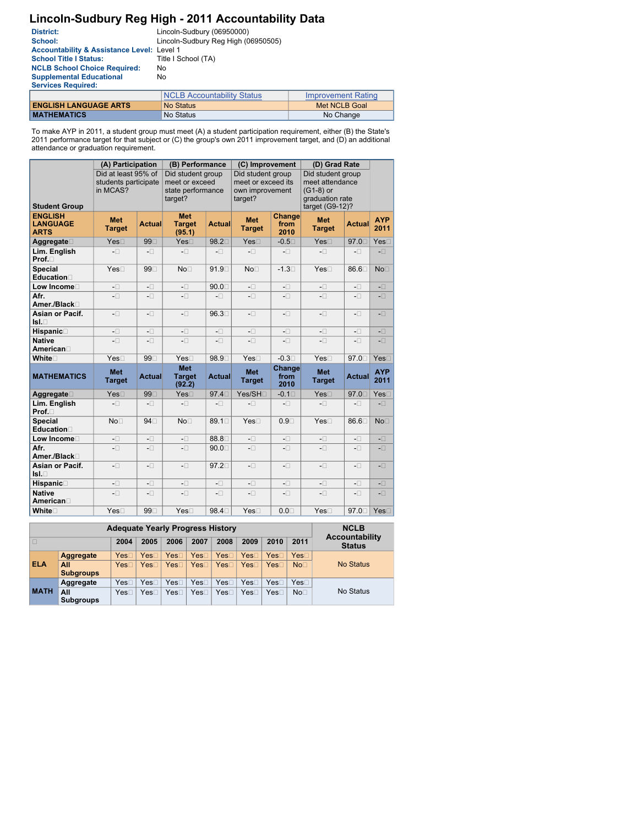# Lincoln-Sudbury Reg High - 2011 Accountability Data

| <b>District:</b>                                      | Lincoln-Sudbury (06950000)          |                           |
|-------------------------------------------------------|-------------------------------------|---------------------------|
| School:                                               | Lincoln-Sudbury Reg High (06950505) |                           |
| <b>Accountability &amp; Assistance Level: Level 1</b> |                                     |                           |
| <b>School Title I Status:</b>                         | Title I School (TA)                 |                           |
| <b>NCLB School Choice Required:</b>                   | No.                                 |                           |
| <b>Supplemental Educational</b>                       | No.                                 |                           |
| <b>Services Required:</b>                             |                                     |                           |
|                                                       | <b>NCLB Accountability Status</b>   | <b>Improvement Rating</b> |
| <b>ENGLISH LANGUAGE ARTS</b>                          | <b>No Status</b>                    | <b>Met NCLB Goal</b>      |
| <b>MATHEMATICS</b>                                    | No Status                           | No Change                 |

To make AYP in 2011, a student group must meet (A) a student participation requirement, either (B) the State's<br>2011 performance target for that subject or (C) the group's own 2011 improvement target, and (D) an additional<br>

|                                                  | (A) Participation                                       |                                                       | (B) Performance                                                     |                              | (C) Improvement                                                       |                               | (D) Grad Rate                                                                             |                                                       |                                                       |
|--------------------------------------------------|---------------------------------------------------------|-------------------------------------------------------|---------------------------------------------------------------------|------------------------------|-----------------------------------------------------------------------|-------------------------------|-------------------------------------------------------------------------------------------|-------------------------------------------------------|-------------------------------------------------------|
| <b>Student Group</b>                             | Did at least 95% of<br>students participate<br>in MCAS? |                                                       | Did student group<br>meet or exceed<br>state performance<br>target? |                              | Did student group<br>meet or exceed its<br>own improvement<br>target? |                               | Did student group<br>meet attendance<br>$(G1-8)$ or<br>graduation rate<br>target (G9-12)? |                                                       |                                                       |
| <b>ENGLISH</b><br><b>LANGUAGE</b><br><b>ARTS</b> | <b>Met</b><br><b>Target</b>                             | <b>Actual</b>                                         | <b>Met</b><br><b>Target</b><br>(95.1)                               | <b>Actual</b>                | <b>Met</b><br><b>Target</b>                                           | <b>Change</b><br>from<br>2010 | <b>Met</b><br><b>Target</b>                                                               | <b>Actual</b>                                         | <b>AYP</b><br>2011                                    |
| Aggregate□                                       | Yes□                                                    | 99□                                                   | Yes□                                                                | 98.2□                        | Yes□                                                                  | $-0.5\square$                 | Yes□                                                                                      | 97.0□                                                 | Yes□                                                  |
| Lim. English<br>Prof.□                           | $-\Box$                                                 | $\mathord{\hspace{1pt}\text{--}\hspace{1pt}} \square$ | $-\Box$                                                             | $- \Box$                     | $-\Box$                                                               | $-\Box$                       | $-\Box$                                                                                   | $-\Box$                                               | $\overline{\phantom{a}}$                              |
| <b>Special</b><br><b>Education</b>               | Yes□                                                    | 99□                                                   | No <sub>1</sub>                                                     | 91.9                         | No <sub>1</sub>                                                       | $-1.3\square$                 | Yes□                                                                                      | 86.6□                                                 | No <sub>1</sub>                                       |
| Low Income <sup>[1]</sup>                        | $\mathord{\hspace{1pt}\text{--}\hspace{1pt}} \square$   | $\mathord{\hspace{1pt}\text{--}\hspace{1pt}} \square$ | $\mathord{\hspace{1pt}\text{--}\hspace{1pt}} \square$               | $90.0\square$                | $\mathord{\hspace{1pt}\text{--}\hspace{1pt}} \square$                 | $-\Box$                       | $- \Box$                                                                                  | $-\Box$                                               | $\mathord{\text{--}}\square$                          |
| Afr.<br>Amer./Black□                             | $-\Box$                                                 | $-\Box$                                               | $-\Box$                                                             | $-\Box$                      | $-\Box$                                                               | $-\Box$                       | $-\Box$                                                                                   | $\mathord{\hspace{1pt}\text{--}\hspace{1pt}} \square$ | $\textcolor{red}{\textbf{-}\square}$                  |
| <b>Asian or Pacif.</b><br>IsL                    | $-\Box$                                                 | $-\Box$                                               | $-\Box$                                                             | 96.3□                        | $-\Box$                                                               | $-\Box$                       | $-\Box$                                                                                   | $\mathord{\hspace{1pt}\text{--}\hspace{1pt}} \square$ | $-\Box$                                               |
| Hispanic                                         | $-\Box$                                                 | $-\Box$                                               | $-\Box$                                                             | $-\Box$                      | $-\Box$                                                               | $-\Box$                       | $-\Box$                                                                                   | $-\Box$                                               | $\mathord{\hspace{1pt}\text{--}\hspace{1pt}} \square$ |
| <b>Native</b><br>American□                       | $- \Box$                                                | $\mathord{\hspace{1pt}\text{--}\hspace{1pt}} \square$ | $- \Box$                                                            | $-\Box$                      | $\mathord{\hspace{1pt}\text{--}\hspace{1pt}} \square$                 | $-\Box$                       | $- \Box$                                                                                  | $-\Box$                                               | $\mathord{\hspace{1pt}\text{--}\hspace{1pt}} \square$ |
| White□                                           | Yes <sub>1</sub>                                        | 99□                                                   | Yes□                                                                | 98.9□                        | Yes□                                                                  | $-0.3\square$                 | Yes□                                                                                      | 97.0□                                                 | Yes□                                                  |
| <b>MATHEMATICS</b>                               | <b>Met</b><br><b>Target</b>                             | <b>Actual</b>                                         | <b>Met</b><br><b>Target</b><br>(92.2)                               | <b>Actual</b>                | <b>Met</b><br><b>Target</b>                                           | Change<br>from<br>2010        | <b>Met</b><br><b>Target</b>                                                               | <b>Actual</b>                                         | <b>AYP</b><br>2011                                    |
| Aggregate                                        | Yes□                                                    | 99□                                                   | Yes□                                                                | 97.4□                        | Yes/SH□                                                               | $-0.1 \Box$                   | Yes□                                                                                      | 97.0□                                                 | Yes□                                                  |
| Lim. English<br>Prof.□                           | $-\Box$                                                 | $\mathord{\hspace{1pt}\text{--}\hspace{1pt}} \square$ | $\mathord{\hspace{1pt}\text{--}\hspace{1pt}} \square$               | $- \Box$                     | $\mathord{\hspace{1pt}\text{--}\hspace{1pt}} \square$                 | $-\Box$                       | $- \Box$                                                                                  | $-\Box$                                               | $-\Box$                                               |
| <b>Special</b><br>Education                      | No <sub>1</sub>                                         | 94□                                                   | No <sub>1</sub>                                                     | 89.1□                        | Yes□                                                                  | $0.9\square$                  | Yes□                                                                                      | 86.6□                                                 | No <sub>1</sub>                                       |
| Low Income <sup>[]</sup>                         | $-\Box$                                                 | $\mathord{\text{--}}\square$                          | $\mathord{\hspace{1pt}\text{--}\hspace{1pt}} \square$               | 88.8                         | $\mathord{\text{--}}\square$                                          | $-\Box$                       | $-\Box$                                                                                   | $-\Box$                                               | $-\Box$                                               |
| Afr.<br>Amer./Black□                             | $- \Box$                                                | $\mathord{\text{--}}\square$                          | $\mathord{\hspace{1pt}\text{--}\hspace{1pt}} \square$               | $90.0\square$                | $\mathord{\text{--}}\square$                                          | $-\Box$                       | $\mathord{\hspace{1pt}\text{--}\hspace{1pt}} \square$                                     | $-\Box$                                               | $\mathord{\text{--}}\square$                          |
| <b>Asian or Pacif.</b><br> sl.                   | $\mathord{\text{--}}\square$                            | $\mathord{\text{--}}\square$                          | $\mathord{\hspace{1pt}\text{--}\hspace{1pt}} \square$               | 97.2□                        | $\mathord{\text{--}}\square$                                          | $-\Box$                       | $\mathord{\hspace{1pt}\text{--}\hspace{1pt}} \square$                                     | $\textbf{-} \Box$                                     | $-\Box$                                               |
| Hispanic                                         | $\mathord{\hspace{1pt}\text{--}\hspace{1pt}} \square$   | $\mathord{\text{--}}\square$                          | $\mathord{\hspace{1pt}\text{--}\hspace{1pt}} \square$               | $\mathord{\text{--}}\square$ | $\textbf{-}\square$                                                   | $\mathord{\text{--}}\square$  | $\mathord{\text{--}}\square$                                                              | $- \Box$                                              | $-\Box$                                               |
| <b>Native</b><br>American                        | $\mathord{\text{--}}\square$                            | $\mathord{\text{--}}\square$                          | $\mathord{\hspace{1pt}\text{--}\hspace{1pt}} \square$               | $-\Box$                      | $\mathord{\text{--}}\square$                                          | $-\Box$                       | $\mathord{\text{--}}\square$                                                              | $\mathord{\hspace{1pt}\text{--}\hspace{1pt}} \square$ | $-\Box$                                               |
| White                                            | Yes <sub>1</sub>                                        | 99                                                    | Yes <sub>1</sub>                                                    | 98.4                         | Yes <sub>1</sub>                                                      | $0.0\square$                  | Yes <sub>1</sub>                                                                          | 97.0 $\Box$ Yes $\Box$                                |                                                       |

|                                                              | <b>Adequate Yearly Progress History</b> | <b>NCLB</b> |                  |                        |      |                     |                     |      |                                        |                  |
|--------------------------------------------------------------|-----------------------------------------|-------------|------------------|------------------------|------|---------------------|---------------------|------|----------------------------------------|------------------|
| 2008<br>2010<br>2009<br>2006<br>2007<br>2011<br>2004<br>2005 |                                         |             |                  |                        |      |                     |                     |      | <b>Accountability</b><br><b>Status</b> |                  |
|                                                              | <b>Aggregate</b>                        | <b>Yes</b>  | $\mathsf{Yes}$ [ | $\mathsf{Yes} \square$ | Yes  | Yes                 | $\mathsf{Yes} \Box$ | Yes  | $Yes\square$                           |                  |
| <b>ELA</b>                                                   | All<br><b>Subgroups</b>                 | <b>Yes</b>  | Yes⊡             | $\mathsf{Yes}$ $\Box$  | YesD | $\mathsf{Yes} \Box$ | $\mathsf{Yes} \Box$ | Yes□ | No <sub>1</sub>                        | <b>No Status</b> |
|                                                              | Aggregate                               | <b>Yes</b>  | Yes[             | Yes⊟                   | Yes[ | Yes                 | Yes⊡                | Yes⊡ | $\mathsf{Yes} \Box$                    |                  |
| <b>MATH</b>                                                  | All<br><b>Subgroups</b>                 | Yes[        | Yes[             | Yes⊟                   | Yes⊡ | Yes⊟                | Yes⊏                | Yes⊟ | No <sub>1</sub>                        | <b>No Status</b> |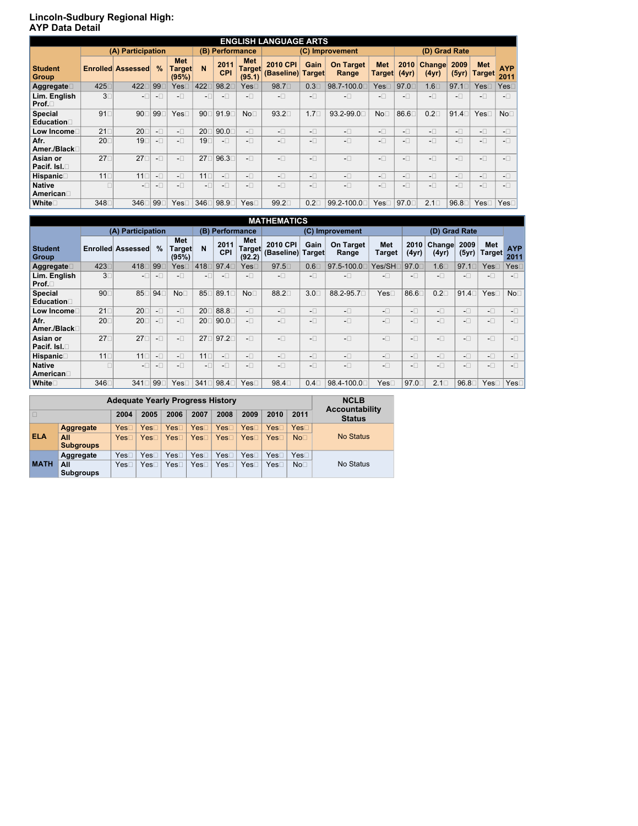# Lincoln-Sudbury Regional High:<br>AYP Data Detail

| <b>ENGLISH LANGUAGE ARTS</b>     |                   |                          |         |                                      |                |                          |                                                     |                                                     |                                                   |                                                       |                                                     |                                                       |                                                       |                                                       |                                                   |                    |
|----------------------------------|-------------------|--------------------------|---------|--------------------------------------|----------------|--------------------------|-----------------------------------------------------|-----------------------------------------------------|---------------------------------------------------|-------------------------------------------------------|-----------------------------------------------------|-------------------------------------------------------|-------------------------------------------------------|-------------------------------------------------------|---------------------------------------------------|--------------------|
|                                  | (A) Participation |                          |         |                                      |                | (B) Performance          |                                                     | (C) Improvement                                     |                                                   |                                                       |                                                     |                                                       | (D) Grad Rate                                         |                                                       |                                                   |                    |
| <b>Student</b><br><b>Group</b>   |                   | <b>Enrolled Assessed</b> | $\%$    | <b>Met</b><br><b>Target</b><br>(95%) | N <sub>1</sub> | 2011<br><b>CPI</b>       | <b>Met</b><br>Target<br>(95.1)                      | <b>2010 CPI</b><br>(Baseline)                       | Gain<br>Target                                    | <b>On Target</b><br>Range                             | <b>Met</b><br><b>Target</b>                         | 2010<br>(4yr)                                         | <b>Change</b><br>(4yr)                                | 2009<br>(5yr)                                         | <b>Met</b><br><b>Target</b>                       | <b>AYP</b><br>2011 |
| Aggregate                        | 425               | 422                      | 99⊡     | $\sf YesC$                           | 4220           | 98.2                     | $\mathsf{Yes} \Box$                                 | 98.7                                                | $0.3\square$                                      | 98.7-100.0□                                           | $\mathsf{Yes}\mathsf{\sqsubset}$                    | 97.0                                                  | $1.6\square$                                          | $97.1 \square$                                        | $Yes\square$                                      | $\mathsf{Yes}$     |
| Lim. English<br>Prof.□           | $3^-$             | $-\Box$                  | $-\Box$ | $-\overline{C}$                      | $-\Box$        | $-\Box$                  | $-\Box$                                             | $-\Box$                                             | $-\Box$                                           | $-\Box$                                               | $-\Box$                                             | $-\Box$                                               | $-\Box$                                               | $-\Box$                                               | $-\Box$                                           | $-\Box$            |
| <b>Special</b><br>Education      | 91                | 90                       | 99⊺     | Yes                                  | 90⊺            | 91.9                     | No <sub>1</sub>                                     | $93.2\square$                                       | 1.7 <sub>□</sub>                                  | 93.2-99.0□                                            | NoC                                                 | 86.6                                                  | $0.2\square$                                          | 91.4                                                  | Yes□                                              | No <sub>1</sub>    |
| Low Income!                      | $21\square$       | 20                       | $-\Box$ | $-\Box$                              | 20             | 90.0                     | $-\Box$                                             | $-\Box$                                             | $-\Box$                                           | $-\Box$                                               | $\mathord{\hspace{1pt}\text{--}\hspace{1pt}}\,\Box$ | $-\Box$                                               | $-\Box$                                               | $\mathord{\hspace{1pt}\text{--}\hspace{1pt}} \square$ | $-\Box$                                           | $-\Box$            |
| Afr.<br>Amer./Black□             | $20\square$       | 19[                      | $-\Box$ | $-\Box$                              | 19⊡            | $\overline{\phantom{a}}$ | $\mathord{\hspace{1pt}\text{--}\hspace{1pt}}\,\Box$ | $-\Box$                                             | $\mathord{\hspace{1pt}\text{--}\hspace{1pt}}\Box$ | $-\Box$                                               | $\mathord{\hspace{1pt}\text{--}\hspace{1pt}}\Box$   | $-\Box$                                               | $-\Box$                                               | $-\Box$                                               | $\mathord{\hspace{1pt}\text{--}\hspace{1pt}}\Box$ | $-\Box$            |
| Asian or<br><b>Pacif. Isl.</b> □ | $27\square$       | $27\square$              | $-\Box$ | $-\Box$                              | $27\square$    | 96.3                     | $-\Box$                                             | $-\Box$                                             | $-\Box$                                           | $-\Box$                                               | $-\Box$                                             | $-\Box$                                               | $-\Box$                                               | $-\Box$                                               | $- \Box$                                          | $-\Box$            |
| <b>Hispanic</b>                  | $11\square$       | $11\square$              | $-\Box$ | $-\Box$                              | $11\square$    | $-\Box$                  | $-\Box$                                             | $\mathord{\hspace{1pt}\text{--}\hspace{1pt}}\,\Box$ | $\mathord{\hspace{1pt}\text{--}\hspace{1pt}}\Box$ | $\mathord{\hspace{1pt}\text{--}\hspace{1pt}} \square$ | $- \Box$                                            | $\mathord{\hspace{1pt}\text{--}\hspace{1pt}} \square$ | $\mathord{\hspace{1pt}\text{--}\hspace{1pt}} \square$ | $\mathord{\hspace{1pt}\text{--}\hspace{1pt}} \square$ | $\mathord{\hspace{1pt}\text{--}\hspace{1pt}}\Box$ | $-\Box$            |
| <b>Native</b><br>American        |                   | $-\Box$                  | $-\Box$ | $-\Box$                              | $-\Box$        | $-\Box$                  | $-\Box$                                             | $-\Box$                                             | $-\Box$                                           | $-\Box$                                               | $-\Box$                                             | $-\Box$                                               | $-\Box$                                               | $-\Box$                                               | $-\Box$                                           | $-\Box$            |
| White                            | 348               | 346                      | 99⊡     | $\mathsf{Yes} \Box$                  | 346            | 98.9                     | Yes                                                 | 99.2□                                               | $0.2\square$                                      | 99.2-100.0□                                           | Yes                                                 | 97.0                                                  | $2.1 \square$                                         | 96.8□                                                 | $\mathsf{Yes} \square$                            | Yes□               |

| <b>MATHEMATICS</b>             |                   |                          |         |                                |                 |                    |                                |                               |                |                                                       |                      |                                                       |                                                       |                                                       |                             |                    |
|--------------------------------|-------------------|--------------------------|---------|--------------------------------|-----------------|--------------------|--------------------------------|-------------------------------|----------------|-------------------------------------------------------|----------------------|-------------------------------------------------------|-------------------------------------------------------|-------------------------------------------------------|-----------------------------|--------------------|
|                                | (A) Participation |                          |         | (B) Performance                |                 | (C) Improvement    |                                |                               |                |                                                       | (D) Grad Rate        |                                                       |                                                       |                                                       |                             |                    |
| <b>Student</b><br><b>Group</b> |                   | <b>Enrolled Assessed</b> | $\%$    | <b>Met</b><br>Target∣<br>(95%) | N <sub>1</sub>  | 2011<br><b>CPI</b> | <b>Met</b><br>Target<br>(92.2) | <b>2010 CPI</b><br>(Baseline) | Gain<br>Target | <b>On Target</b><br>Range                             | <b>Met</b><br>Target | 2010<br>(4yr)                                         | Change<br>(4yr)                                       | 2009<br>(5yr)                                         | <b>Met</b><br><b>Target</b> | <b>AYP</b><br>2011 |
| Aggregate                      | 423□              | 418□                     | 99      | <b>Yes</b>                     | 418             | 97.4               | Yes                            | 97.5□                         | $0.6\square$   | 97.5-100.0                                            | Yes/SH <b></b>       | 97.0                                                  | $1.6\square$                                          | 97.1                                                  | $\mathsf{Yes}\Box$          | Yes                |
| Lim. English<br>Prof.          | $3\square$        | $-\Box$                  | $-\Box$ | $-\Box$                        | $-\Box$         | $-\Box$            | $-\Box$                        | $-\Box$                       | $-\Box$        | $-\Box$                                               | $-\Box$              | $\mathord{\hspace{1pt}\text{--}\hspace{1pt}} \square$ | $\mathord{\hspace{1pt}\text{--}\hspace{1pt}} \square$ | $\mathord{\hspace{1pt}\text{--}\hspace{1pt}} \square$ | $-\Box$                     | $-\Box$            |
| <b>Special</b><br>Education    | 90□               | 85                       | 94      | No <sub>1</sub>                | 85              | 89.1□              | No <sub>1</sub>                | 88.2                          | $3.0\square$   | 88.2-95.7                                             | Yes⊡                 | 86.6                                                  | $0.2\square$                                          | $91.4\square$                                         | Yes□                        | No <sub>1</sub>    |
| Low Income!                    | $21\square$       | <b>20</b>                | $-\Box$ | $-\Box$                        | 20              | 88.8               | $\mathord{\text{--}}\Box$      | $-\Box$                       | $-\Box$        | $-\Box$                                               | $-\Box$              | $-\Box$                                               | $-\Box$                                               | $-\Box$                                               | $-\Box$                     | $-\Box$            |
| Afr.<br>Amer./Black□           | <b>20</b>         | <b>20</b>                | $-\Box$ | $-\Box$                        | 20              | 90.0               | $-\Box$                        | $-\Box$                       | $-\Box$        | $\mathord{\text{--}}\Box$                             | $-\Box$              | $\mathord{\hspace{1pt}\text{--}\hspace{1pt}}\Box$     | $-\Box$                                               | $-\Box$                                               | $-\Box$                     | $-\Box$            |
| Asian or<br>Pacif. Isl.        | $27\square$       | $27\square$              | $-\Box$ | $-\Box$                        | 27 <sub>1</sub> | 97.2□              | $-\Box$                        | $-\Box$                       | $-\Box$        | $\mathord{\hspace{1pt}\text{--}\hspace{1pt}} \square$ | $-\Box$              | $- \Box$                                              | $-\Box$                                               | $-\Box$                                               | $-\Box$                     | $-\Box$            |
| Hispanic                       | $11\square$       | $11\square$              | $-\Box$ | $-\Box$                        | $11\square$     | $-\Box$            | $-\Box$                        | $-\Box$                       | $-\Box$        | $-\Box$                                               | $-\Box$              | $-\Box$                                               | $-\Box$                                               | $\mathord{\hspace{1pt}\text{--}\hspace{1pt}} \square$ | $-\Box$                     | $-\Box$            |
| <b>Native</b><br>American□     |                   | $-\Box$                  | $-\Box$ | $-\Box$                        | $-\Box$         | $-\Box$            | $-\Box$                        | $-\Box$                       | $-\Box$        | $-\Box$                                               | $-\Box$              | $-\Box$                                               | $-\Box$                                               | $-\Box$                                               | $-\Box$                     | $-\Box$            |
| White□                         | 346               | 341□                     | 99      | Yes[                           | 341             | 98.4⊡              | Yes <sub>1</sub>               | 98.4                          | $0.4\square$   | 98.4-100.0□                                           | $\mathsf{Yes} \Box$  | 97.0                                                  | $2.1 \square$                                         | 96.8                                                  | Yes⊟                        | Yes□               |

|             | <b>Adequate Yearly Progress History</b> | <b>NCLB</b> |      |                     |                     |                  |                  |                  |                     |                                        |
|-------------|-----------------------------------------|-------------|------|---------------------|---------------------|------------------|------------------|------------------|---------------------|----------------------------------------|
| Ш           |                                         | 2004        | 2005 | 2006                | 2007                | 2008             | 2009             | 2010             | 2011                | <b>Accountability</b><br><b>Status</b> |
|             | <b>Aggregate</b>                        | Yes         | Yes⊏ | $\mathsf{Yes} \Box$ | YesD                | Yes <sub>T</sub> | $\sf Yes$ $\Box$ | $\sf Yes$ $\Box$ | $\mathsf{Yes} \Box$ |                                        |
| <b>ELA</b>  | All<br><b>Subgroups</b>                 | Yes□        | Yes⊏ | $\mathsf{Yes} \Box$ | $\mathsf{Yes} \Box$ | Yes□             | Yes              | $\sf Yes$ $\Box$ | No <sub>1</sub>     | <b>No Status</b>                       |
| <b>MATH</b> | Aggregate                               | Yes[        | Yes  | Yes⊡                | Yes                 | Yes[             | Yes              | Yes⊡             | $\mathsf{Yes} \Box$ |                                        |
|             | All<br><b>Subgroups</b>                 | Yes         | Yes⊡ | Yes⊟                | Yes⊟                | Yes□             | Yes              | Yes⊡             | No <sub>1</sub>     | No Status                              |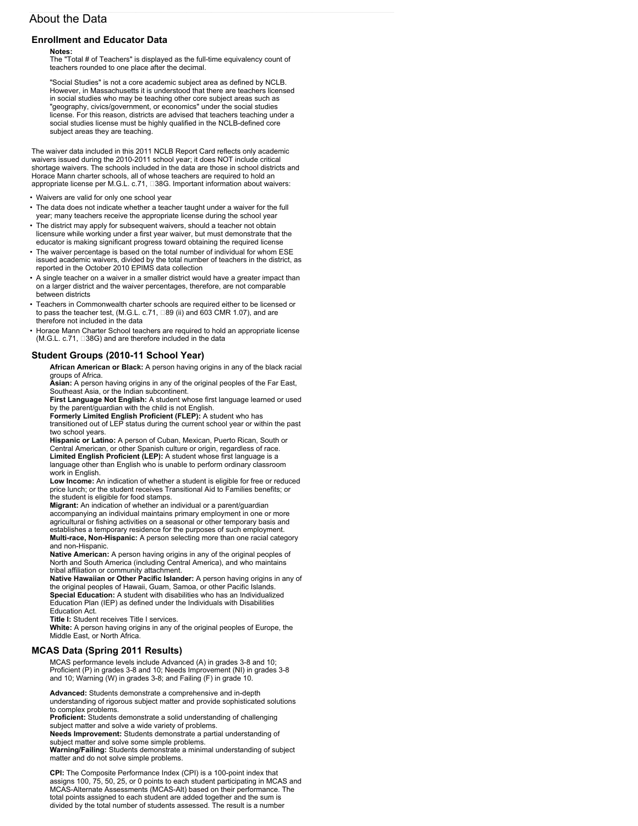# **About the Data**

## **Enrollment and Educator Data**

### **Notes:**

**The "Total # of Teachers" is displayed as the full-time equivalency count of teachers rounded to one place after the decimal.**

**"Social Studies" is not a core academic subject area as defined by NCLB. However, in Massachusetts it is understood that there are teachers licensed in social studies who may be teaching other core subject areas such as "geography, civics/government, or economics" under the social studies license. For this reason, districts are advised that teachers teaching under a social studies license must be highly qualified in the NCLB-defined core subject areas they are teaching.**

**The waiver data included in this 2011 NCLB Report Card reflects only academic waivers issued during the 2010-2011 school year; it does NOT include critical shortage waivers. The schools included in the data are those in school districts and Horace Mann charter schools, all of whose teachers are required to hold an appropriate license per M.G.L. c.71, �38G. Important information about waivers:**

- **• Waivers are valid for only one school year**
- **• The data does not indicate whether a teacher taught under a waiver for the full year; many teachers receive the appropriate license during the school year**
- **• The district may apply for subsequent waivers, should a teacher not obtain licensure while working under a first year waiver, but must demonstrate that the educator is making significant progress toward obtaining the required license**
- **• The waiver percentage is based on the total number of individual for whom ESE issued academic waivers, divided by the total number of teachers in the district, as reported in the October 2010 EPIMS data collection**
- **• A single teacher on a waiver in a smaller district would have a greater impact than on a larger district and the waiver percentages, therefore, are not comparable between districts**
- **• Teachers in Commonwealth charter schools are required either to be licensed or to pass the teacher test, (M.G.L. c.71, �89 (ii) and 603 CMR 1.07), and are therefore not included in the data**
- **• Horace Mann Charter School teachers are required to hold an appropriate license (M.G.L. c.71, �38G) and are therefore included in the data**

## **Student Groups (2010-11 School Year)**

**African American or Black: A person having origins in any of the black racial groups of Africa.**

**Asian: A person having origins in any of the original peoples of the Far East, Southeast Asia, or the Indian subcontinent.**

**First Language Not English: A student whose first language learned or used by the parent/guardian with the child is not English.**

**Formerly Limited English Proficient (FLEP): A student who has transitioned out of LEP status during the current school year or within the past two school years.**

**Hispanic or Latino: A person of Cuban, Mexican, Puerto Rican, South or Central American, or other Spanish culture or origin, regardless of race. Limited English Proficient (LEP): A student whose first language is a language other than English who is unable to perform ordinary classroom work in English.**

**Low Income: An indication of whether a student is eligible for free or reduced price lunch; or the student receives Transitional Aid to Families benefits; or the student is eligible for food stamps.**

**Migrant: An indication of whether an individual or a parent/guardian accompanying an individual maintains primary employment in one or more agricultural or fishing activities on a seasonal or other temporary basis and establishes a temporary residence for the purposes of such employment. Multi-race, Non-Hispanic: A person selecting more than one racial category and non-Hispanic.**

**Native American: A person having origins in any of the original peoples of North and South America (including Central America), and who maintains tribal affiliation or community attachment.**

**Native Hawaiian or Other Pacific Islander: A person having origins in any of the original peoples of Hawaii, Guam, Samoa, or other Pacific Islands.**

**Special Education: A student with disabilities who has an Individualized Education Plan (IEP) as defined under the Individuals with Disabilities Education Act.**

**Title I: Student receives Title I services.**

**White: A person having origins in any of the original peoples of Europe, the Middle East, or North Africa.**

### **MCAS Data (Spring 2011 Results)**

**MCAS performance levels include Advanced (A) in grades 3-8 and 10; Proficient (P) in grades 3-8 and 10; Needs Improvement (NI) in grades 3-8 and 10; Warning (W) in grades 3-8; and Failing (F) in grade 10.**

**Advanced: Students demonstrate a comprehensive and in-depth understanding of rigorous subject matter and provide sophisticated solutions to complex problems.**

**Proficient: Students demonstrate a solid understanding of challenging subject matter and solve a wide variety of problems.**

**Needs Improvement: Students demonstrate a partial understanding of subject matter and solve some simple problems.**

**Warning/Failing: Students demonstrate a minimal understanding of subject matter and do not solve simple problems.**

**CPI: The Composite Performance Index (CPI) is a 100-point index that assigns 100, 75, 50, 25, or 0 points to each student participating in MCAS and MCAS-Alternate Assessments (MCAS-Alt) based on their performance. The total points assigned to each student are added together and the sum is divided by the total number of students assessed. The result is a number**